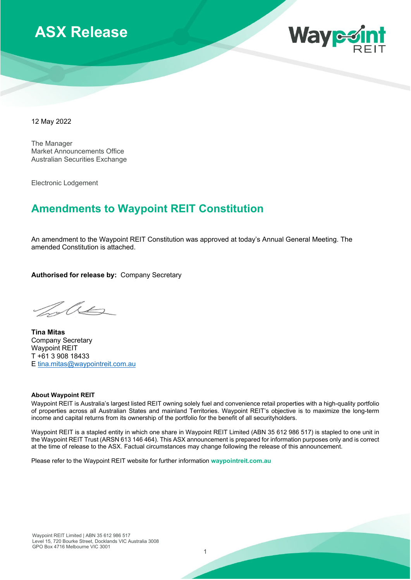



12 May 2022

The Manager Market Announcements Office Australian Securities Exchange

Electronic Lodgement

# **Amendments to Waypoint REIT Constitution**

An amendment to the Waypoint REIT Constitution was approved at today's Annual General Meeting. The amended Constitution is attached.

**Authorised for release by:** Company Secretary

 $\Lambda$ 

**Tina Mitas**  Company Secretary Waypoint REIT T +61 3 908 18433 E [tina.mitas@waypointreit.com.au](mailto:tina.mitas@waypointreit.com.au)

#### **About Waypoint REIT**

Waypoint REIT is Australia's largest listed REIT owning solely fuel and convenience retail properties with a high-quality portfolio of properties across all Australian States and mainland Territories. Waypoint REIT's objective is to maximize the long-term income and capital returns from its ownership of the portfolio for the benefit of all securityholders.

Waypoint REIT is a stapled entity in which one share in Waypoint REIT Limited (ABN 35 612 986 517) is stapled to one unit in the Waypoint REIT Trust (ARSN 613 146 464). This ASX announcement is prepared for information purposes only and is correct at the time of release to the ASX. Factual circumstances may change following the release of this announcement.

Please refer to the Waypoint REIT website for further information **waypointreit.com.au**

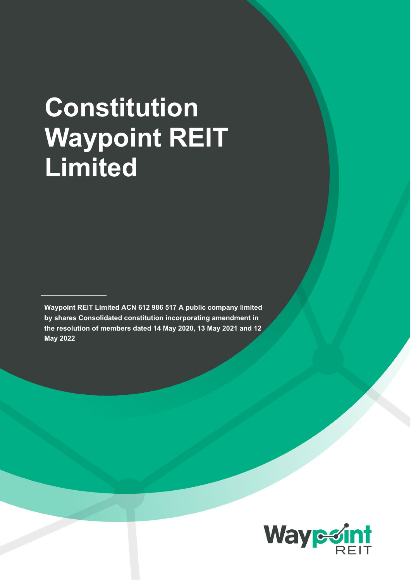# **Constitution Waypoint REIT Limited**

**Waypoint REIT Limited ACN 612 986 517 A public company limited by shares Consolidated constitution incorporating amendment in the resolution of members dated 14 May 2020, 13 May 2021 and 12 May 2022**

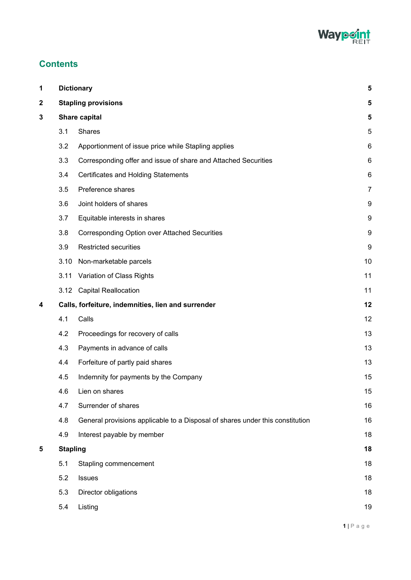

# **Contents**

| 1           | <b>Dictionary</b>          |                                                                               | 5                |
|-------------|----------------------------|-------------------------------------------------------------------------------|------------------|
| $\mathbf 2$ | <b>Stapling provisions</b> |                                                                               |                  |
| 3           | Share capital              |                                                                               |                  |
|             | 3.1                        | Shares                                                                        | 5                |
|             | 3.2                        | Apportionment of issue price while Stapling applies                           | 6                |
|             | 3.3                        | Corresponding offer and issue of share and Attached Securities                | 6                |
|             | 3.4                        | <b>Certificates and Holding Statements</b>                                    | 6                |
|             | 3.5                        | Preference shares                                                             | $\overline{7}$   |
|             | 3.6                        | Joint holders of shares                                                       | 9                |
|             | 3.7                        | Equitable interests in shares                                                 | 9                |
|             | 3.8                        | <b>Corresponding Option over Attached Securities</b>                          | 9                |
|             | 3.9                        | <b>Restricted securities</b>                                                  | $\boldsymbol{9}$ |
|             | 3.10                       | Non-marketable parcels                                                        | 10               |
|             | 3.11                       | Variation of Class Rights                                                     | 11               |
|             |                            | 3.12 Capital Reallocation                                                     | 11               |
| 4           |                            | Calls, forfeiture, indemnities, lien and surrender                            | 12               |
|             | 4.1                        | Calls                                                                         | 12               |
|             | 4.2                        | Proceedings for recovery of calls                                             | 13               |
|             | 4.3                        | Payments in advance of calls                                                  | 13               |
|             | 4.4                        | Forfeiture of partly paid shares                                              | 13               |
|             | 4.5                        | Indemnity for payments by the Company                                         | 15               |
|             | 4.6                        | Lien on shares                                                                | 15               |
|             | 4.7                        | Surrender of shares                                                           | 16               |
|             | 4.8                        | General provisions applicable to a Disposal of shares under this constitution | 16               |
|             | 4.9                        | Interest payable by member                                                    | 18               |
| 5           | <b>Stapling</b>            |                                                                               | 18               |
|             | 5.1                        | Stapling commencement                                                         | 18               |
|             | 5.2                        | Issues                                                                        | 18               |
|             | 5.3                        | Director obligations                                                          | 18               |
|             | 5.4                        | Listing                                                                       | 19               |
|             |                            |                                                                               |                  |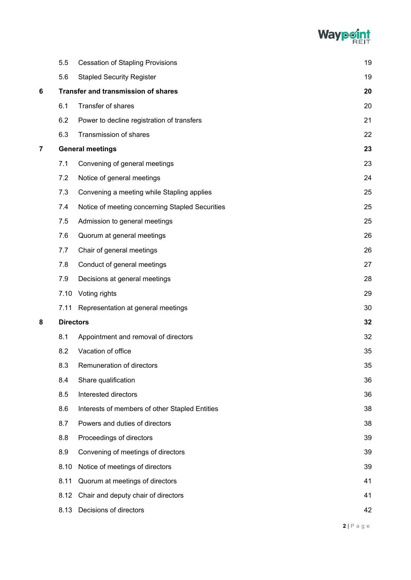

|   | 5.5              | <b>Cessation of Stapling Provisions</b>         | 19 |
|---|------------------|-------------------------------------------------|----|
|   | 5.6              | <b>Stapled Security Register</b>                | 19 |
| 6 |                  | <b>Transfer and transmission of shares</b>      | 20 |
|   | 6.1              | Transfer of shares                              | 20 |
|   | 6.2              | Power to decline registration of transfers      | 21 |
|   | 6.3              | Transmission of shares                          | 22 |
| 7 |                  | <b>General meetings</b>                         | 23 |
|   | 7.1              | Convening of general meetings                   | 23 |
|   | 7.2              | Notice of general meetings                      | 24 |
|   | 7.3              | Convening a meeting while Stapling applies      | 25 |
|   | 7.4              | Notice of meeting concerning Stapled Securities | 25 |
|   | 7.5              | Admission to general meetings                   | 25 |
|   | 7.6              | Quorum at general meetings                      | 26 |
|   | 7.7              | Chair of general meetings                       | 26 |
|   | 7.8              | Conduct of general meetings                     | 27 |
|   | 7.9              | Decisions at general meetings                   | 28 |
|   | 7.10             | Voting rights                                   | 29 |
|   | 7.11             | Representation at general meetings              | 30 |
| 8 | <b>Directors</b> |                                                 |    |
|   | 8.1              | Appointment and removal of directors            | 32 |
|   | 8.2              | Vacation of office                              | 35 |
|   | 8.3              | Remuneration of directors                       | 35 |
|   | 8.4              | Share qualification                             | 36 |
|   | 8.5              | Interested directors                            | 36 |
|   | 8.6              | Interests of members of other Stapled Entities  | 38 |
|   | 8.7              | Powers and duties of directors                  | 38 |
|   | 8.8              | Proceedings of directors                        | 39 |
|   | 8.9              | Convening of meetings of directors              | 39 |
|   | 8.10             | Notice of meetings of directors                 | 39 |
|   | 8.11             | Quorum at meetings of directors                 | 41 |
|   | 8.12             | Chair and deputy chair of directors             | 41 |
|   | 8.13             | Decisions of directors                          | 42 |
|   |                  |                                                 |    |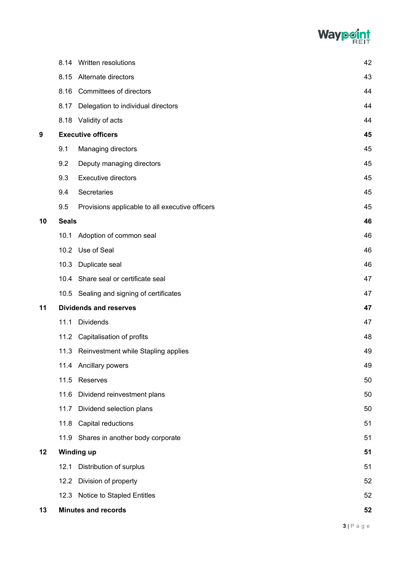

|    |              | 8.14 Written resolutions                        | 42 |
|----|--------------|-------------------------------------------------|----|
|    |              | 8.15 Alternate directors                        | 43 |
|    | 8.16         | <b>Committees of directors</b>                  | 44 |
|    | 8.17         | Delegation to individual directors              | 44 |
|    |              | 8.18 Validity of acts                           | 44 |
| 9  |              | <b>Executive officers</b>                       | 45 |
|    | 9.1          | Managing directors                              | 45 |
|    | 9.2          | Deputy managing directors                       | 45 |
|    | 9.3          | <b>Executive directors</b>                      | 45 |
|    | 9.4          | Secretaries                                     | 45 |
|    | 9.5          | Provisions applicable to all executive officers | 45 |
| 10 | <b>Seals</b> |                                                 | 46 |
|    |              | 10.1 Adoption of common seal                    | 46 |
|    |              | 10.2 Use of Seal                                | 46 |
|    |              | 10.3 Duplicate seal                             | 46 |
|    |              | 10.4 Share seal or certificate seal             | 47 |
|    |              | 10.5 Sealing and signing of certificates        | 47 |
| 11 |              | <b>Dividends and reserves</b>                   | 47 |
|    | 11.1         | <b>Dividends</b>                                | 47 |
|    |              | 11.2 Capitalisation of profits                  | 48 |
|    |              | 11.3 Reinvestment while Stapling applies        | 49 |
|    |              | 11.4 Ancillary powers                           | 49 |
|    | 11.5         | Reserves                                        | 50 |
|    | 11.6         | Dividend reinvestment plans                     | 50 |
|    | 11.7         | Dividend selection plans                        | 50 |
|    |              | 11.8 Capital reductions                         | 51 |
|    |              | 11.9 Shares in another body corporate           | 51 |
| 12 |              | <b>Winding up</b>                               | 51 |
|    | 12.1         | Distribution of surplus                         | 51 |
|    |              | 12.2 Division of property                       | 52 |
|    |              | 12.3 Notice to Stapled Entitles                 | 52 |
| 13 |              | <b>Minutes and records</b>                      | 52 |
|    |              |                                                 |    |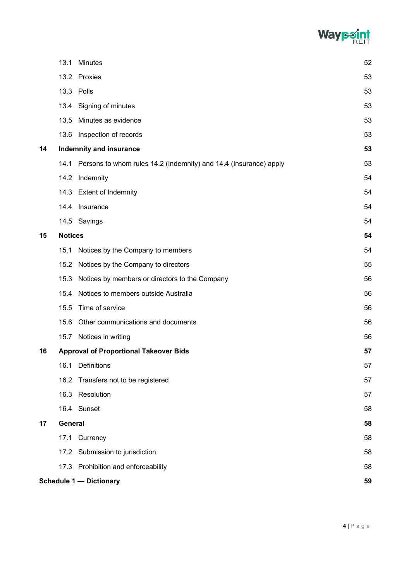

|    | 13.1                                 | <b>Minutes</b>                                                    | 52 |  |
|----|--------------------------------------|-------------------------------------------------------------------|----|--|
|    |                                      | 13.2 Proxies                                                      | 53 |  |
|    |                                      | 13.3 Polls                                                        | 53 |  |
|    | 13.4                                 | Signing of minutes                                                | 53 |  |
|    | 13.5                                 | Minutes as evidence                                               | 53 |  |
|    | 13.6                                 | Inspection of records                                             | 53 |  |
| 14 |                                      | <b>Indemnity and insurance</b>                                    | 53 |  |
|    | 14.1                                 | Persons to whom rules 14.2 (Indemnity) and 14.4 (Insurance) apply | 53 |  |
|    | 14.2                                 | Indemnity                                                         | 54 |  |
|    |                                      | 14.3 Extent of Indemnity                                          | 54 |  |
|    | 14.4                                 | Insurance                                                         | 54 |  |
|    |                                      | 14.5 Savings                                                      | 54 |  |
| 15 | <b>Notices</b>                       |                                                                   | 54 |  |
|    | 15.1                                 | Notices by the Company to members                                 | 54 |  |
|    | 15.2                                 | Notices by the Company to directors                               | 55 |  |
|    | 15.3                                 | Notices by members or directors to the Company                    | 56 |  |
|    | 15.4                                 | Notices to members outside Australia                              | 56 |  |
|    | 15.5                                 | Time of service                                                   | 56 |  |
|    | 15.6                                 | Other communications and documents                                | 56 |  |
|    | 15.7                                 | Notices in writing                                                | 56 |  |
| 16 |                                      | <b>Approval of Proportional Takeover Bids</b>                     | 57 |  |
|    | 16.1                                 | Definitions                                                       | 57 |  |
|    |                                      | 16.2 Transfers not to be registered                               | 57 |  |
|    |                                      | 16.3 Resolution                                                   | 57 |  |
|    |                                      | 16.4 Sunset                                                       | 58 |  |
| 17 | General                              |                                                                   | 58 |  |
|    |                                      | 17.1 Currency                                                     | 58 |  |
|    |                                      | 17.2 Submission to jurisdiction                                   | 58 |  |
|    |                                      | 17.3 Prohibition and enforceability                               | 58 |  |
|    | <b>Schedule 1 - Dictionary</b><br>59 |                                                                   |    |  |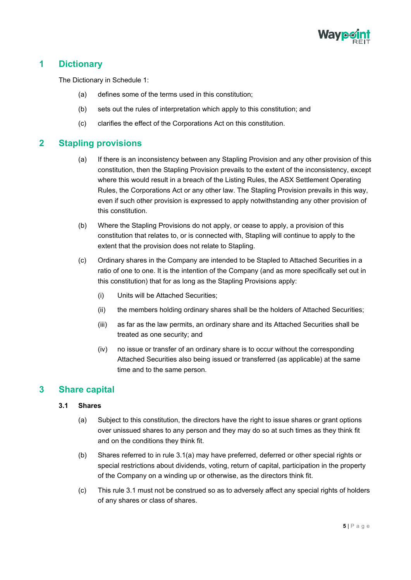

# <span id="page-6-0"></span>**1 Dictionary**

The Dictionary in Schedule 1:

- (a) defines some of the terms used in this constitution;
- (b) sets out the rules of interpretation which apply to this constitution; and
- (c) clarifies the effect of the Corporations Act on this constitution.

# <span id="page-6-1"></span>**2 Stapling provisions**

- (a) If there is an inconsistency between any Stapling Provision and any other provision of this constitution, then the Stapling Provision prevails to the extent of the inconsistency, except where this would result in a breach of the Listing Rules, the ASX Settlement Operating Rules, the Corporations Act or any other law. The Stapling Provision prevails in this way, even if such other provision is expressed to apply notwithstanding any other provision of this constitution.
- (b) Where the Stapling Provisions do not apply, or cease to apply, a provision of this constitution that relates to, or is connected with, Stapling will continue to apply to the extent that the provision does not relate to Stapling.
- (c) Ordinary shares in the Company are intended to be Stapled to Attached Securities in a ratio of one to one. It is the intention of the Company (and as more specifically set out in this constitution) that for as long as the Stapling Provisions apply:
	- (i) Units will be Attached Securities;
	- (ii) the members holding ordinary shares shall be the holders of Attached Securities;
	- (iii) as far as the law permits, an ordinary share and its Attached Securities shall be treated as one security; and
	- (iv) no issue or transfer of an ordinary share is to occur without the corresponding Attached Securities also being issued or transferred (as applicable) at the same time and to the same person.

# <span id="page-6-3"></span><span id="page-6-2"></span>**3 Share capital**

#### **3.1 Shares**

- (a) Subject to this constitution, the directors have the right to issue shares or grant options over unissued shares to any person and they may do so at such times as they think fit and on the conditions they think fit.
- (b) Shares referred to in rule 3.1(a) may have preferred, deferred or other special rights or special restrictions about dividends, voting, return of capital, participation in the property of the Company on a winding up or otherwise, as the directors think fit.
- (c) This rule 3.1 must not be construed so as to adversely affect any special rights of holders of any shares or class of shares.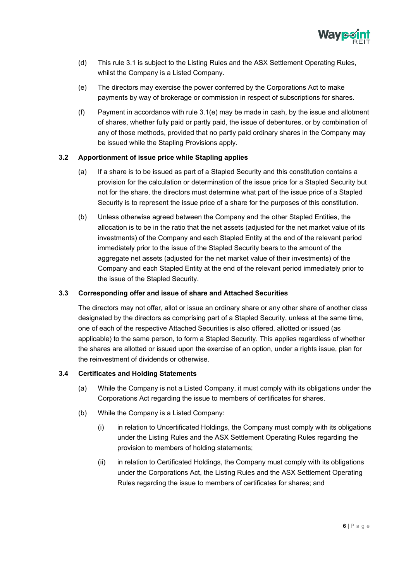

- (d) This rule 3.1 is subject to the Listing Rules and the ASX Settlement Operating Rules, whilst the Company is a Listed Company.
- (e) The directors may exercise the power conferred by the Corporations Act to make payments by way of brokerage or commission in respect of subscriptions for shares.
- (f) Payment in accordance with rule 3.1(e) may be made in cash, by the issue and allotment of shares, whether fully paid or partly paid, the issue of debentures, or by combination of any of those methods, provided that no partly paid ordinary shares in the Company may be issued while the Stapling Provisions apply.

#### <span id="page-7-0"></span>**3.2 Apportionment of issue price while Stapling applies**

- (a) If a share is to be issued as part of a Stapled Security and this constitution contains a provision for the calculation or determination of the issue price for a Stapled Security but not for the share, the directors must determine what part of the issue price of a Stapled Security is to represent the issue price of a share for the purposes of this constitution.
- (b) Unless otherwise agreed between the Company and the other Stapled Entities, the allocation is to be in the ratio that the net assets (adjusted for the net market value of its investments) of the Company and each Stapled Entity at the end of the relevant period immediately prior to the issue of the Stapled Security bears to the amount of the aggregate net assets (adjusted for the net market value of their investments) of the Company and each Stapled Entity at the end of the relevant period immediately prior to the issue of the Stapled Security.

#### <span id="page-7-1"></span>**3.3 Corresponding offer and issue of share and Attached Securities**

The directors may not offer, allot or issue an ordinary share or any other share of another class designated by the directors as comprising part of a Stapled Security, unless at the same time, one of each of the respective Attached Securities is also offered, allotted or issued (as applicable) to the same person, to form a Stapled Security. This applies regardless of whether the shares are allotted or issued upon the exercise of an option, under a rights issue, plan for the reinvestment of dividends or otherwise.

#### <span id="page-7-2"></span>**3.4 Certificates and Holding Statements**

- (a) While the Company is not a Listed Company, it must comply with its obligations under the Corporations Act regarding the issue to members of certificates for shares.
- (b) While the Company is a Listed Company:
	- (i) in relation to Uncertificated Holdings, the Company must comply with its obligations under the Listing Rules and the ASX Settlement Operating Rules regarding the provision to members of holding statements;
	- (ii) in relation to Certificated Holdings, the Company must comply with its obligations under the Corporations Act, the Listing Rules and the ASX Settlement Operating Rules regarding the issue to members of certificates for shares; and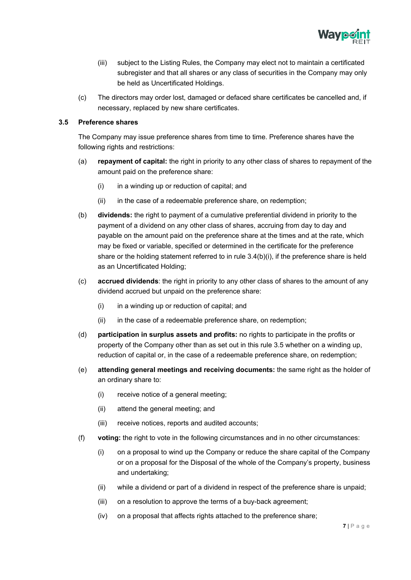

- (iii) subject to the Listing Rules, the Company may elect not to maintain a certificated subregister and that all shares or any class of securities in the Company may only be held as Uncertificated Holdings.
- (c) The directors may order lost, damaged or defaced share certificates be cancelled and, if necessary, replaced by new share certificates.

#### <span id="page-8-0"></span>**3.5 Preference shares**

The Company may issue preference shares from time to time. Preference shares have the following rights and restrictions:

- (a) **repayment of capital:** the right in priority to any other class of shares to repayment of the amount paid on the preference share:
	- $(i)$  in a winding up or reduction of capital; and
	- (ii) in the case of a redeemable preference share, on redemption;
- (b) **dividends:** the right to payment of a cumulative preferential dividend in priority to the payment of a dividend on any other class of shares, accruing from day to day and payable on the amount paid on the preference share at the times and at the rate, which may be fixed or variable, specified or determined in the certificate for the preference share or the holding statement referred to in rule  $3.4(b)(i)$ , if the preference share is held as an Uncertificated Holding;
- (c) **accrued dividends**: the right in priority to any other class of shares to the amount of any dividend accrued but unpaid on the preference share:
	- $(i)$  in a winding up or reduction of capital; and
	- (ii) in the case of a redeemable preference share, on redemption;
- (d) **participation in surplus assets and profits:** no rights to participate in the profits or property of the Company other than as set out in this rule 3.5 whether on a winding up, reduction of capital or, in the case of a redeemable preference share, on redemption;
- (e) **attending general meetings and receiving documents:** the same right as the holder of an ordinary share to:
	- (i) receive notice of a general meeting;
	- (ii) attend the general meeting; and
	- (iii) receive notices, reports and audited accounts;
- (f) **voting:** the right to vote in the following circumstances and in no other circumstances:
	- (i) on a proposal to wind up the Company or reduce the share capital of the Company or on a proposal for the Disposal of the whole of the Company's property, business and undertaking;
	- (ii) while a dividend or part of a dividend in respect of the preference share is unpaid;
	- (iii) on a resolution to approve the terms of a buy-back agreement;
	- (iv) on a proposal that affects rights attached to the preference share;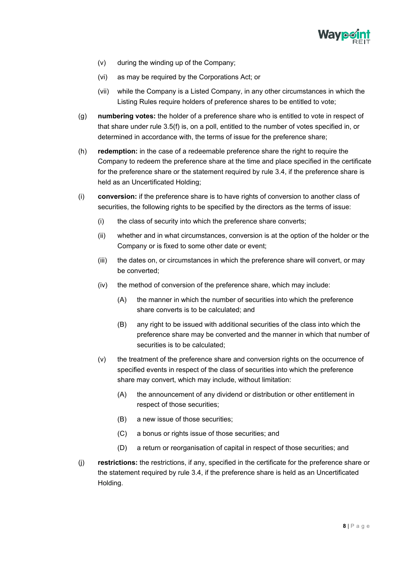

- (v) during the winding up of the Company;
- (vi) as may be required by the Corporations Act; or
- (vii) while the Company is a Listed Company, in any other circumstances in which the Listing Rules require holders of preference shares to be entitled to vote;
- (g) **numbering votes:** the holder of a preference share who is entitled to vote in respect of that share under rule 3.5(f) is, on a poll, entitled to the number of votes specified in, or determined in accordance with, the terms of issue for the preference share;
- (h) **redemption:** in the case of a redeemable preference share the right to require the Company to redeem the preference share at the time and place specified in the certificate for the preference share or the statement required by rule 3.4, if the preference share is held as an Uncertificated Holding;
- (i) **conversion:** if the preference share is to have rights of conversion to another class of securities, the following rights to be specified by the directors as the terms of issue:
	- (i) the class of security into which the preference share converts;
	- (ii) whether and in what circumstances, conversion is at the option of the holder or the Company or is fixed to some other date or event;
	- (iii) the dates on, or circumstances in which the preference share will convert, or may be converted;
	- (iv) the method of conversion of the preference share, which may include:
		- (A) the manner in which the number of securities into which the preference share converts is to be calculated; and
		- (B) any right to be issued with additional securities of the class into which the preference share may be converted and the manner in which that number of securities is to be calculated;
	- (v) the treatment of the preference share and conversion rights on the occurrence of specified events in respect of the class of securities into which the preference share may convert, which may include, without limitation:
		- (A) the announcement of any dividend or distribution or other entitlement in respect of those securities;
		- (B) a new issue of those securities;
		- (C) a bonus or rights issue of those securities; and
		- (D) a return or reorganisation of capital in respect of those securities; and
- (j) **restrictions:** the restrictions, if any, specified in the certificate for the preference share or the statement required by rule 3.4, if the preference share is held as an Uncertificated Holding.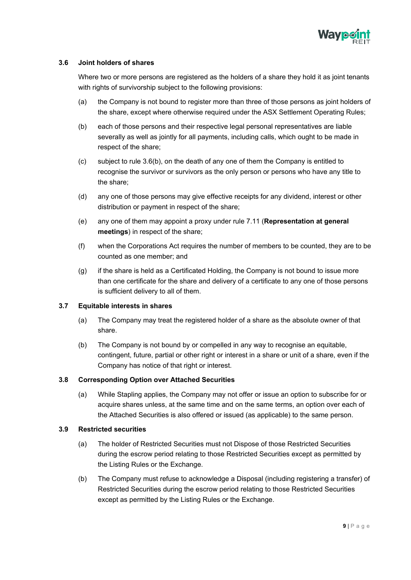

#### <span id="page-10-0"></span>**3.6 Joint holders of shares**

Where two or more persons are registered as the holders of a share they hold it as joint tenants with rights of survivorship subject to the following provisions:

- (a) the Company is not bound to register more than three of those persons as joint holders of the share, except where otherwise required under the ASX Settlement Operating Rules;
- (b) each of those persons and their respective legal personal representatives are liable severally as well as jointly for all payments, including calls, which ought to be made in respect of the share;
- (c) subject to rule 3.6(b), on the death of any one of them the Company is entitled to recognise the survivor or survivors as the only person or persons who have any title to the share;
- (d) any one of those persons may give effective receipts for any dividend, interest or other distribution or payment in respect of the share;
- (e) any one of them may appoint a proxy under rule 7.11 (**Representation at general meetings**) in respect of the share;
- (f) when the Corporations Act requires the number of members to be counted, they are to be counted as one member; and
- (g) if the share is held as a Certificated Holding, the Company is not bound to issue more than one certificate for the share and delivery of a certificate to any one of those persons is sufficient delivery to all of them.

#### <span id="page-10-1"></span>**3.7 Equitable interests in shares**

- (a) The Company may treat the registered holder of a share as the absolute owner of that share.
- (b) The Company is not bound by or compelled in any way to recognise an equitable, contingent, future, partial or other right or interest in a share or unit of a share, even if the Company has notice of that right or interest.

#### <span id="page-10-2"></span>**3.8 Corresponding Option over Attached Securities**

(a) While Stapling applies, the Company may not offer or issue an option to subscribe for or acquire shares unless, at the same time and on the same terms, an option over each of the Attached Securities is also offered or issued (as applicable) to the same person.

#### <span id="page-10-3"></span>**3.9 Restricted securities**

- (a) The holder of Restricted Securities must not Dispose of those Restricted Securities during the escrow period relating to those Restricted Securities except as permitted by the Listing Rules or the Exchange.
- (b) The Company must refuse to acknowledge a Disposal (including registering a transfer) of Restricted Securities during the escrow period relating to those Restricted Securities except as permitted by the Listing Rules or the Exchange.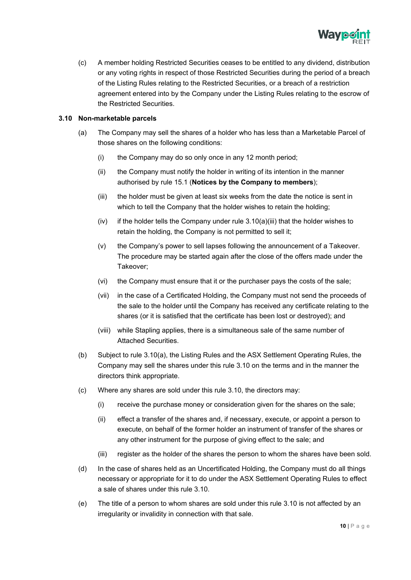

(c) A member holding Restricted Securities ceases to be entitled to any dividend, distribution or any voting rights in respect of those Restricted Securities during the period of a breach of the Listing Rules relating to the Restricted Securities, or a breach of a restriction agreement entered into by the Company under the Listing Rules relating to the escrow of the Restricted Securities.

#### <span id="page-11-0"></span>**3.10 Non-marketable parcels**

- (a) The Company may sell the shares of a holder who has less than a Marketable Parcel of those shares on the following conditions:
	- (i) the Company may do so only once in any 12 month period;
	- (ii) the Company must notify the holder in writing of its intention in the manner authorised by rule 15.1 (**Notices by the Company to members**);
	- (iii) the holder must be given at least six weeks from the date the notice is sent in which to tell the Company that the holder wishes to retain the holding;
	- (iv) if the holder tells the Company under rule  $3.10(a)$ (iii) that the holder wishes to retain the holding, the Company is not permitted to sell it;
	- (v) the Company's power to sell lapses following the announcement of a Takeover. The procedure may be started again after the close of the offers made under the Takeover;
	- (vi) the Company must ensure that it or the purchaser pays the costs of the sale;
	- (vii) in the case of a Certificated Holding, the Company must not send the proceeds of the sale to the holder until the Company has received any certificate relating to the shares (or it is satisfied that the certificate has been lost or destroyed); and
	- (viii) while Stapling applies, there is a simultaneous sale of the same number of Attached Securities.
- (b) Subject to rule 3.10(a), the Listing Rules and the ASX Settlement Operating Rules, the Company may sell the shares under this rule 3.10 on the terms and in the manner the directors think appropriate.
- (c) Where any shares are sold under this rule 3.10, the directors may:
	- (i) receive the purchase money or consideration given for the shares on the sale;
	- (ii) effect a transfer of the shares and, if necessary, execute, or appoint a person to execute, on behalf of the former holder an instrument of transfer of the shares or any other instrument for the purpose of giving effect to the sale; and
	- (iii) register as the holder of the shares the person to whom the shares have been sold.
- (d) In the case of shares held as an Uncertificated Holding, the Company must do all things necessary or appropriate for it to do under the ASX Settlement Operating Rules to effect a sale of shares under this rule 3.10.
- (e) The title of a person to whom shares are sold under this rule 3.10 is not affected by an irregularity or invalidity in connection with that sale.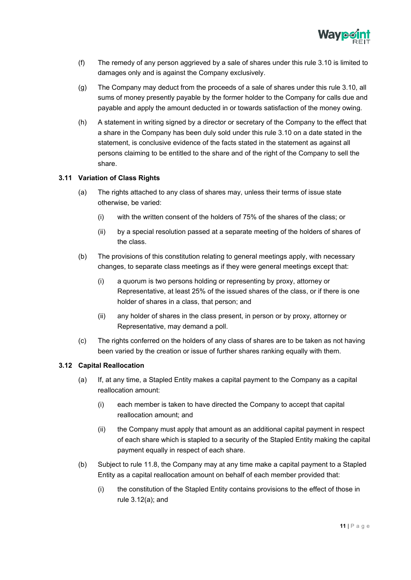

- (f) The remedy of any person aggrieved by a sale of shares under this rule 3.10 is limited to damages only and is against the Company exclusively.
- (g) The Company may deduct from the proceeds of a sale of shares under this rule 3.10, all sums of money presently payable by the former holder to the Company for calls due and payable and apply the amount deducted in or towards satisfaction of the money owing.
- (h) A statement in writing signed by a director or secretary of the Company to the effect that a share in the Company has been duly sold under this rule 3.10 on a date stated in the statement, is conclusive evidence of the facts stated in the statement as against all persons claiming to be entitled to the share and of the right of the Company to sell the share.

#### <span id="page-12-0"></span>**3.11 Variation of Class Rights**

- (a) The rights attached to any class of shares may, unless their terms of issue state otherwise, be varied:
	- (i) with the written consent of the holders of 75% of the shares of the class; or
	- (ii) by a special resolution passed at a separate meeting of the holders of shares of the class.
- (b) The provisions of this constitution relating to general meetings apply, with necessary changes, to separate class meetings as if they were general meetings except that:
	- (i) a quorum is two persons holding or representing by proxy, attorney or Representative, at least 25% of the issued shares of the class, or if there is one holder of shares in a class, that person; and
	- (ii) any holder of shares in the class present, in person or by proxy, attorney or Representative, may demand a poll.
- (c) The rights conferred on the holders of any class of shares are to be taken as not having been varied by the creation or issue of further shares ranking equally with them.

#### <span id="page-12-1"></span>**3.12 Capital Reallocation**

- (a) If, at any time, a Stapled Entity makes a capital payment to the Company as a capital reallocation amount:
	- (i) each member is taken to have directed the Company to accept that capital reallocation amount; and
	- (ii) the Company must apply that amount as an additional capital payment in respect of each share which is stapled to a security of the Stapled Entity making the capital payment equally in respect of each share.
- (b) Subject to rule 11.8, the Company may at any time make a capital payment to a Stapled Entity as a capital reallocation amount on behalf of each member provided that:
	- (i) the constitution of the Stapled Entity contains provisions to the effect of those in rule 3.12(a); and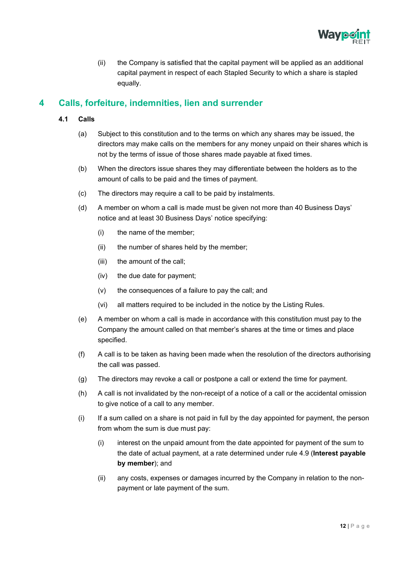

(ii) the Company is satisfied that the capital payment will be applied as an additional capital payment in respect of each Stapled Security to which a share is stapled equally.

# <span id="page-13-1"></span><span id="page-13-0"></span>**4 Calls, forfeiture, indemnities, lien and surrender**

- **4.1 Calls**
	- (a) Subject to this constitution and to the terms on which any shares may be issued, the directors may make calls on the members for any money unpaid on their shares which is not by the terms of issue of those shares made payable at fixed times.
	- (b) When the directors issue shares they may differentiate between the holders as to the amount of calls to be paid and the times of payment.
	- (c) The directors may require a call to be paid by instalments.
	- (d) A member on whom a call is made must be given not more than 40 Business Days' notice and at least 30 Business Days' notice specifying:
		- (i) the name of the member;
		- (ii) the number of shares held by the member;
		- (iii) the amount of the call;
		- (iv) the due date for payment;
		- (v) the consequences of a failure to pay the call; and
		- (vi) all matters required to be included in the notice by the Listing Rules.
	- (e) A member on whom a call is made in accordance with this constitution must pay to the Company the amount called on that member's shares at the time or times and place specified.
	- (f) A call is to be taken as having been made when the resolution of the directors authorising the call was passed.
	- (g) The directors may revoke a call or postpone a call or extend the time for payment.
	- (h) A call is not invalidated by the non-receipt of a notice of a call or the accidental omission to give notice of a call to any member.
	- (i) If a sum called on a share is not paid in full by the day appointed for payment, the person from whom the sum is due must pay:
		- (i) interest on the unpaid amount from the date appointed for payment of the sum to the date of actual payment, at a rate determined under rule 4.9 (**Interest payable by member**); and
		- (ii) any costs, expenses or damages incurred by the Company in relation to the nonpayment or late payment of the sum.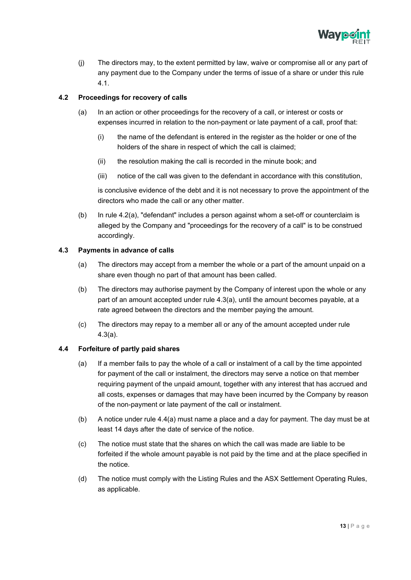

(j) The directors may, to the extent permitted by law, waive or compromise all or any part of any payment due to the Company under the terms of issue of a share or under this rule 4.1.

### <span id="page-14-0"></span>**4.2 Proceedings for recovery of calls**

- (a) In an action or other proceedings for the recovery of a call, or interest or costs or expenses incurred in relation to the non-payment or late payment of a call, proof that:
	- (i) the name of the defendant is entered in the register as the holder or one of the holders of the share in respect of which the call is claimed;
	- (ii) the resolution making the call is recorded in the minute book; and
	- (iii) notice of the call was given to the defendant in accordance with this constitution,

is conclusive evidence of the debt and it is not necessary to prove the appointment of the directors who made the call or any other matter.

(b) In rule 4.2(a), "defendant" includes a person against whom a set-off or counterclaim is alleged by the Company and "proceedings for the recovery of a call" is to be construed accordingly.

#### <span id="page-14-1"></span>**4.3 Payments in advance of calls**

- (a) The directors may accept from a member the whole or a part of the amount unpaid on a share even though no part of that amount has been called.
- (b) The directors may authorise payment by the Company of interest upon the whole or any part of an amount accepted under rule 4.3(a), until the amount becomes payable, at a rate agreed between the directors and the member paying the amount.
- (c) The directors may repay to a member all or any of the amount accepted under rule 4.3(a).

#### <span id="page-14-2"></span>**4.4 Forfeiture of partly paid shares**

- (a) If a member fails to pay the whole of a call or instalment of a call by the time appointed for payment of the call or instalment, the directors may serve a notice on that member requiring payment of the unpaid amount, together with any interest that has accrued and all costs, expenses or damages that may have been incurred by the Company by reason of the non-payment or late payment of the call or instalment.
- (b) A notice under rule 4.4(a) must name a place and a day for payment. The day must be at least 14 days after the date of service of the notice.
- (c) The notice must state that the shares on which the call was made are liable to be forfeited if the whole amount payable is not paid by the time and at the place specified in the notice.
- (d) The notice must comply with the Listing Rules and the ASX Settlement Operating Rules, as applicable.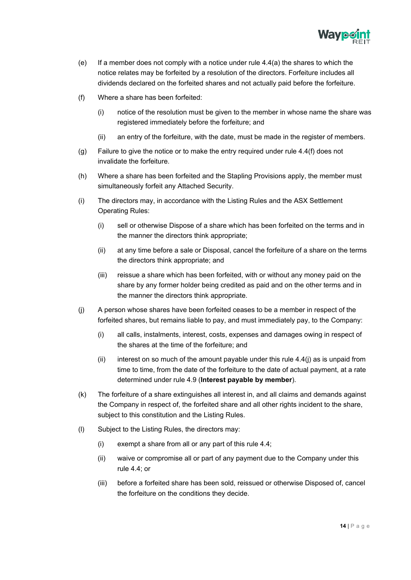

- (e) If a member does not comply with a notice under rule  $4.4(a)$  the shares to which the notice relates may be forfeited by a resolution of the directors. Forfeiture includes all dividends declared on the forfeited shares and not actually paid before the forfeiture.
- (f) Where a share has been forfeited:
	- (i) notice of the resolution must be given to the member in whose name the share was registered immediately before the forfeiture; and
	- (ii) an entry of the forfeiture, with the date, must be made in the register of members.
- (g) Failure to give the notice or to make the entry required under rule 4.4(f) does not invalidate the forfeiture.
- (h) Where a share has been forfeited and the Stapling Provisions apply, the member must simultaneously forfeit any Attached Security.
- (i) The directors may, in accordance with the Listing Rules and the ASX Settlement Operating Rules:
	- (i) sell or otherwise Dispose of a share which has been forfeited on the terms and in the manner the directors think appropriate;
	- (ii) at any time before a sale or Disposal, cancel the forfeiture of a share on the terms the directors think appropriate; and
	- (iii) reissue a share which has been forfeited, with or without any money paid on the share by any former holder being credited as paid and on the other terms and in the manner the directors think appropriate.
- (j) A person whose shares have been forfeited ceases to be a member in respect of the forfeited shares, but remains liable to pay, and must immediately pay, to the Company:
	- (i) all calls, instalments, interest, costs, expenses and damages owing in respect of the shares at the time of the forfeiture; and
	- (ii) interest on so much of the amount payable under this rule  $4.4$ (j) as is unpaid from time to time, from the date of the forfeiture to the date of actual payment, at a rate determined under rule 4.9 (**Interest payable by member**).
- (k) The forfeiture of a share extinguishes all interest in, and all claims and demands against the Company in respect of, the forfeited share and all other rights incident to the share, subject to this constitution and the Listing Rules.
- (l) Subject to the Listing Rules, the directors may:
	- (i) exempt a share from all or any part of this rule 4.4;
	- (ii) waive or compromise all or part of any payment due to the Company under this rule 4.4; or
	- (iii) before a forfeited share has been sold, reissued or otherwise Disposed of, cancel the forfeiture on the conditions they decide.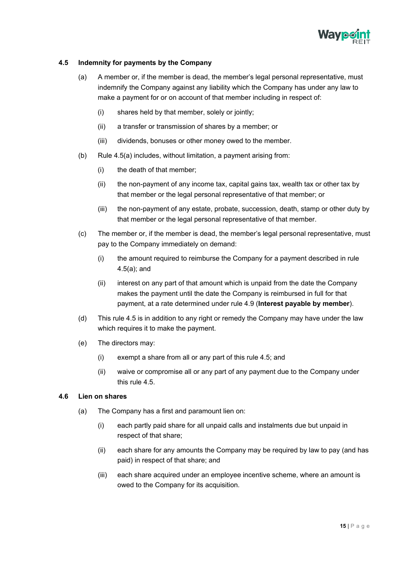

### <span id="page-16-0"></span>**4.5 Indemnity for payments by the Company**

- (a) A member or, if the member is dead, the member's legal personal representative, must indemnify the Company against any liability which the Company has under any law to make a payment for or on account of that member including in respect of:
	- (i) shares held by that member, solely or jointly;
	- (ii) a transfer or transmission of shares by a member; or
	- (iii) dividends, bonuses or other money owed to the member.
- (b) Rule 4.5(a) includes, without limitation, a payment arising from:
	- (i) the death of that member;
	- (ii) the non-payment of any income tax, capital gains tax, wealth tax or other tax by that member or the legal personal representative of that member; or
	- (iii) the non-payment of any estate, probate, succession, death, stamp or other duty by that member or the legal personal representative of that member.
- (c) The member or, if the member is dead, the member's legal personal representative, must pay to the Company immediately on demand:
	- (i) the amount required to reimburse the Company for a payment described in rule 4.5(a); and
	- (ii) interest on any part of that amount which is unpaid from the date the Company makes the payment until the date the Company is reimbursed in full for that payment, at a rate determined under rule 4.9 (**Interest payable by member**).
- (d) This rule 4.5 is in addition to any right or remedy the Company may have under the law which requires it to make the payment.
- (e) The directors may:
	- (i) exempt a share from all or any part of this rule 4.5; and
	- (ii) waive or compromise all or any part of any payment due to the Company under this rule 4.5.

#### <span id="page-16-1"></span>**4.6 Lien on shares**

- (a) The Company has a first and paramount lien on:
	- (i) each partly paid share for all unpaid calls and instalments due but unpaid in respect of that share;
	- (ii) each share for any amounts the Company may be required by law to pay (and has paid) in respect of that share; and
	- (iii) each share acquired under an employee incentive scheme, where an amount is owed to the Company for its acquisition.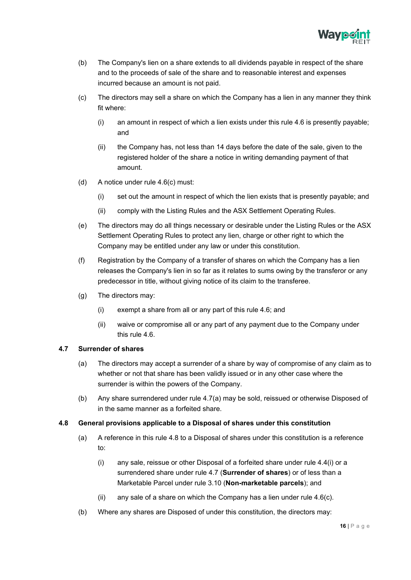

- (b) The Company's lien on a share extends to all dividends payable in respect of the share and to the proceeds of sale of the share and to reasonable interest and expenses incurred because an amount is not paid.
- (c) The directors may sell a share on which the Company has a lien in any manner they think fit where:
	- (i) an amount in respect of which a lien exists under this rule 4.6 is presently payable; and
	- (ii) the Company has, not less than 14 days before the date of the sale, given to the registered holder of the share a notice in writing demanding payment of that amount.
- (d) A notice under rule 4.6(c) must:
	- (i) set out the amount in respect of which the lien exists that is presently payable; and
	- (ii) comply with the Listing Rules and the ASX Settlement Operating Rules.
- (e) The directors may do all things necessary or desirable under the Listing Rules or the ASX Settlement Operating Rules to protect any lien, charge or other right to which the Company may be entitled under any law or under this constitution.
- (f) Registration by the Company of a transfer of shares on which the Company has a lien releases the Company's lien in so far as it relates to sums owing by the transferor or any predecessor in title, without giving notice of its claim to the transferee.
- (g) The directors may:
	- (i) exempt a share from all or any part of this rule 4.6; and
	- (ii) waive or compromise all or any part of any payment due to the Company under this rule 4.6.

#### <span id="page-17-0"></span>**4.7 Surrender of shares**

- (a) The directors may accept a surrender of a share by way of compromise of any claim as to whether or not that share has been validly issued or in any other case where the surrender is within the powers of the Company.
- (b) Any share surrendered under rule 4.7(a) may be sold, reissued or otherwise Disposed of in the same manner as a forfeited share.

#### <span id="page-17-1"></span>**4.8 General provisions applicable to a Disposal of shares under this constitution**

- (a) A reference in this rule 4.8 to a Disposal of shares under this constitution is a reference to:
	- (i) any sale, reissue or other Disposal of a forfeited share under rule 4.4(i) or a surrendered share under rule 4.7 (**Surrender of shares**) or of less than a Marketable Parcel under rule 3.10 (**Non-marketable parcels**); and
	- (ii) any sale of a share on which the Company has a lien under rule 4.6(c).
- (b) Where any shares are Disposed of under this constitution, the directors may: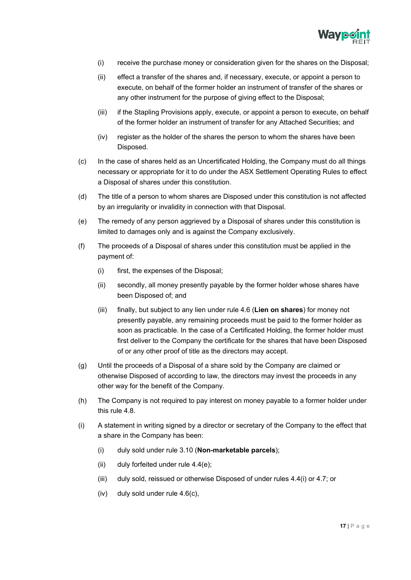

- (i) receive the purchase money or consideration given for the shares on the Disposal;
- (ii) effect a transfer of the shares and, if necessary, execute, or appoint a person to execute, on behalf of the former holder an instrument of transfer of the shares or any other instrument for the purpose of giving effect to the Disposal;
- (iii) if the Stapling Provisions apply, execute, or appoint a person to execute, on behalf of the former holder an instrument of transfer for any Attached Securities; and
- (iv) register as the holder of the shares the person to whom the shares have been Disposed.
- (c) In the case of shares held as an Uncertificated Holding, the Company must do all things necessary or appropriate for it to do under the ASX Settlement Operating Rules to effect a Disposal of shares under this constitution.
- (d) The title of a person to whom shares are Disposed under this constitution is not affected by an irregularity or invalidity in connection with that Disposal.
- (e) The remedy of any person aggrieved by a Disposal of shares under this constitution is limited to damages only and is against the Company exclusively.
- (f) The proceeds of a Disposal of shares under this constitution must be applied in the payment of:
	- (i) first, the expenses of the Disposal;
	- (ii) secondly, all money presently payable by the former holder whose shares have been Disposed of; and
	- (iii) finally, but subject to any lien under rule 4.6 (**Lien on shares**) for money not presently payable, any remaining proceeds must be paid to the former holder as soon as practicable. In the case of a Certificated Holding, the former holder must first deliver to the Company the certificate for the shares that have been Disposed of or any other proof of title as the directors may accept.
- (g) Until the proceeds of a Disposal of a share sold by the Company are claimed or otherwise Disposed of according to law, the directors may invest the proceeds in any other way for the benefit of the Company.
- (h) The Company is not required to pay interest on money payable to a former holder under this rule 4.8.
- (i) A statement in writing signed by a director or secretary of the Company to the effect that a share in the Company has been:
	- (i) duly sold under rule 3.10 (**Non-marketable parcels**);
	- (ii) duly forfeited under rule  $4.4(e)$ ;
	- (iii) duly sold, reissued or otherwise Disposed of under rules 4.4(i) or 4.7; or
	- (iv) duly sold under rule 4.6(c),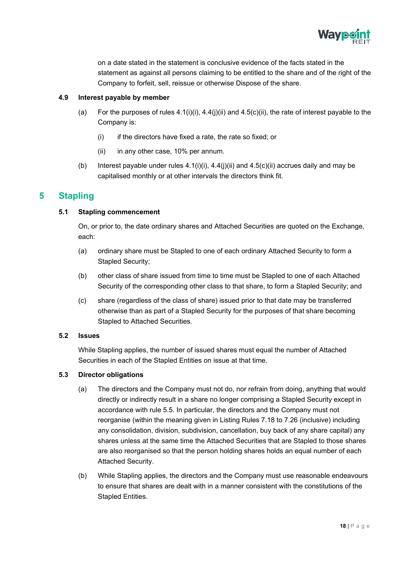

on a date stated in the statement is conclusive evidence of the facts stated in the statement as against all persons claiming to be entitled to the share and of the right of the Company to forfeit, sell, reissue or otherwise Dispose of the share.

#### <span id="page-19-0"></span>**4.9 Interest payable by member**

- (a) For the purposes of rules  $4.1(i)(i)$ ,  $4.4(i)(ii)$  and  $4.5(c)(ii)$ , the rate of interest payable to the Company is:
	- $(i)$  if the directors have fixed a rate, the rate so fixed; or
	- (ii) in any other case, 10% per annum.
- (b) Interest payable under rules  $4.1(i)(i)$ ,  $4.4(i)(ii)$  and  $4.5(c)(ii)$  accrues daily and may be capitalised monthly or at other intervals the directors think fit.

# <span id="page-19-2"></span><span id="page-19-1"></span>**5 Stapling**

#### **5.1 Stapling commencement**

On, or prior to, the date ordinary shares and Attached Securities are quoted on the Exchange, each:

- (a) ordinary share must be Stapled to one of each ordinary Attached Security to form a Stapled Security;
- (b) other class of share issued from time to time must be Stapled to one of each Attached Security of the corresponding other class to that share, to form a Stapled Security; and
- (c) share (regardless of the class of share) issued prior to that date may be transferred otherwise than as part of a Stapled Security for the purposes of that share becoming Stapled to Attached Securities.

#### <span id="page-19-3"></span>**5.2 Issues**

While Stapling applies, the number of issued shares must equal the number of Attached Securities in each of the Stapled Entities on issue at that time.

#### <span id="page-19-4"></span>**5.3 Director obligations**

- (a) The directors and the Company must not do, nor refrain from doing, anything that would directly or indirectly result in a share no longer comprising a Stapled Security except in accordance with rule 5.5. In particular, the directors and the Company must not reorganise (within the meaning given in Listing Rules 7.18 to 7.26 (inclusive) including any consolidation, division, subdivision, cancellation, buy back of any share capital) any shares unless at the same time the Attached Securities that are Stapled to those shares are also reorganised so that the person holding shares holds an equal number of each Attached Security.
- (b) While Stapling applies, the directors and the Company must use reasonable endeavours to ensure that shares are dealt with in a manner consistent with the constitutions of the Stapled Entities.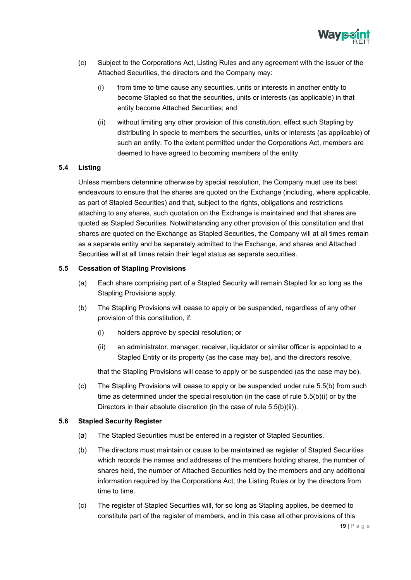

- (c) Subject to the Corporations Act, Listing Rules and any agreement with the issuer of the Attached Securities, the directors and the Company may:
	- (i) from time to time cause any securities, units or interests in another entity to become Stapled so that the securities, units or interests (as applicable) in that entity become Attached Securities; and
	- (ii) without limiting any other provision of this constitution, effect such Stapling by distributing in specie to members the securities, units or interests (as applicable) of such an entity. To the extent permitted under the Corporations Act, members are deemed to have agreed to becoming members of the entity.

#### <span id="page-20-0"></span>**5.4 Listing**

Unless members determine otherwise by special resolution, the Company must use its best endeavours to ensure that the shares are quoted on the Exchange (including, where applicable, as part of Stapled Securities) and that, subject to the rights, obligations and restrictions attaching to any shares, such quotation on the Exchange is maintained and that shares are quoted as Stapled Securities. Notwithstanding any other provision of this constitution and that shares are quoted on the Exchange as Stapled Securities, the Company will at all times remain as a separate entity and be separately admitted to the Exchange, and shares and Attached Securities will at all times retain their legal status as separate securities.

#### <span id="page-20-1"></span>**5.5 Cessation of Stapling Provisions**

- (a) Each share comprising part of a Stapled Security will remain Stapled for so long as the Stapling Provisions apply.
- (b) The Stapling Provisions will cease to apply or be suspended, regardless of any other provision of this constitution, if:
	- (i) holders approve by special resolution; or
	- (ii) an administrator, manager, receiver, liquidator or similar officer is appointed to a Stapled Entity or its property (as the case may be), and the directors resolve,

that the Stapling Provisions will cease to apply or be suspended (as the case may be).

(c) The Stapling Provisions will cease to apply or be suspended under rule 5.5(b) from such time as determined under the special resolution (in the case of rule 5.5(b)(i) or by the Directors in their absolute discretion (in the case of rule 5.5(b)(ii)).

#### <span id="page-20-2"></span>**5.6 Stapled Security Register**

- (a) The Stapled Securities must be entered in a register of Stapled Securities.
- (b) The directors must maintain or cause to be maintained as register of Stapled Securities which records the names and addresses of the members holding shares, the number of shares held, the number of Attached Securities held by the members and any additional information required by the Corporations Act, the Listing Rules or by the directors from time to time.
- (c) The register of Stapled Securities will, for so long as Stapling applies, be deemed to constitute part of the register of members, and in this case all other provisions of this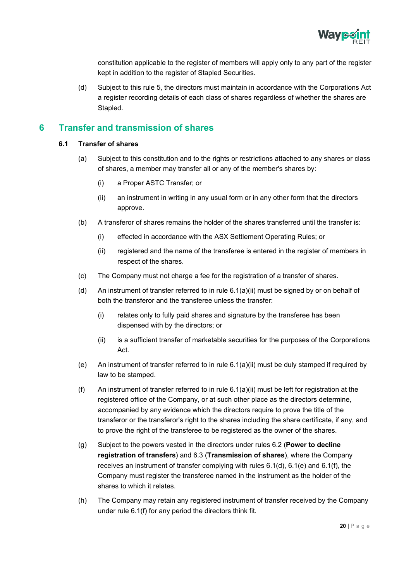

constitution applicable to the register of members will apply only to any part of the register kept in addition to the register of Stapled Securities.

(d) Subject to this rule 5, the directors must maintain in accordance with the Corporations Act a register recording details of each class of shares regardless of whether the shares are Stapled.

# <span id="page-21-1"></span><span id="page-21-0"></span>**6 Transfer and transmission of shares**

#### **6.1 Transfer of shares**

- (a) Subject to this constitution and to the rights or restrictions attached to any shares or class of shares, a member may transfer all or any of the member's shares by:
	- (i) a Proper ASTC Transfer; or
	- (ii) an instrument in writing in any usual form or in any other form that the directors approve.
- (b) A transferor of shares remains the holder of the shares transferred until the transfer is:
	- (i) effected in accordance with the ASX Settlement Operating Rules; or
	- (ii) registered and the name of the transferee is entered in the register of members in respect of the shares.
- (c) The Company must not charge a fee for the registration of a transfer of shares.
- (d) An instrument of transfer referred to in rule 6.1(a)(ii) must be signed by or on behalf of both the transferor and the transferee unless the transfer:
	- (i) relates only to fully paid shares and signature by the transferee has been dispensed with by the directors; or
	- (ii) is a sufficient transfer of marketable securities for the purposes of the Corporations Act.
- (e) An instrument of transfer referred to in rule 6.1(a)(ii) must be duly stamped if required by law to be stamped.
- (f) An instrument of transfer referred to in rule  $6.1(a)(ii)$  must be left for registration at the registered office of the Company, or at such other place as the directors determine, accompanied by any evidence which the directors require to prove the title of the transferor or the transferor's right to the shares including the share certificate, if any, and to prove the right of the transferee to be registered as the owner of the shares.
- (g) Subject to the powers vested in the directors under rules 6.2 (**Power to decline registration of transfers**) and 6.3 (**Transmission of shares**), where the Company receives an instrument of transfer complying with rules 6.1(d), 6.1(e) and 6.1(f), the Company must register the transferee named in the instrument as the holder of the shares to which it relates.
- (h) The Company may retain any registered instrument of transfer received by the Company under rule 6.1(f) for any period the directors think fit.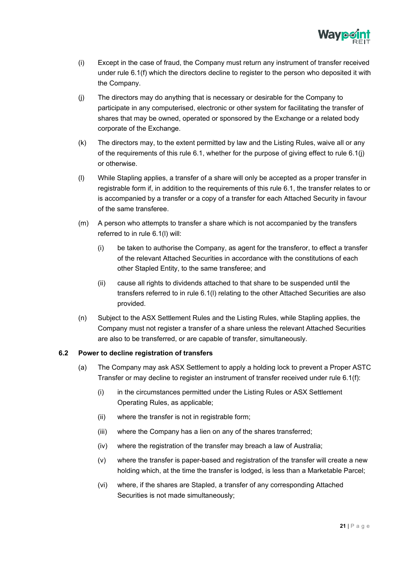

- (i) Except in the case of fraud, the Company must return any instrument of transfer received under rule 6.1(f) which the directors decline to register to the person who deposited it with the Company.
- (j) The directors may do anything that is necessary or desirable for the Company to participate in any computerised, electronic or other system for facilitating the transfer of shares that may be owned, operated or sponsored by the Exchange or a related body corporate of the Exchange.
- (k) The directors may, to the extent permitted by law and the Listing Rules, waive all or any of the requirements of this rule 6.1, whether for the purpose of giving effect to rule 6.1(j) or otherwise.
- (l) While Stapling applies, a transfer of a share will only be accepted as a proper transfer in registrable form if, in addition to the requirements of this rule 6.1, the transfer relates to or is accompanied by a transfer or a copy of a transfer for each Attached Security in favour of the same transferee.
- (m) A person who attempts to transfer a share which is not accompanied by the transfers referred to in rule 6.1(l) will:
	- (i) be taken to authorise the Company, as agent for the transferor, to effect a transfer of the relevant Attached Securities in accordance with the constitutions of each other Stapled Entity, to the same transferee; and
	- (ii) cause all rights to dividends attached to that share to be suspended until the transfers referred to in rule 6.1(l) relating to the other Attached Securities are also provided.
- (n) Subject to the ASX Settlement Rules and the Listing Rules, while Stapling applies, the Company must not register a transfer of a share unless the relevant Attached Securities are also to be transferred, or are capable of transfer, simultaneously.

#### <span id="page-22-0"></span>**6.2 Power to decline registration of transfers**

- (a) The Company may ask ASX Settlement to apply a holding lock to prevent a Proper ASTC Transfer or may decline to register an instrument of transfer received under rule 6.1(f):
	- (i) in the circumstances permitted under the Listing Rules or ASX Settlement Operating Rules, as applicable;
	- (ii) where the transfer is not in registrable form;
	- (iii) where the Company has a lien on any of the shares transferred;
	- (iv) where the registration of the transfer may breach a law of Australia;
	- (v) where the transfer is paper-based and registration of the transfer will create a new holding which, at the time the transfer is lodged, is less than a Marketable Parcel;
	- (vi) where, if the shares are Stapled, a transfer of any corresponding Attached Securities is not made simultaneously;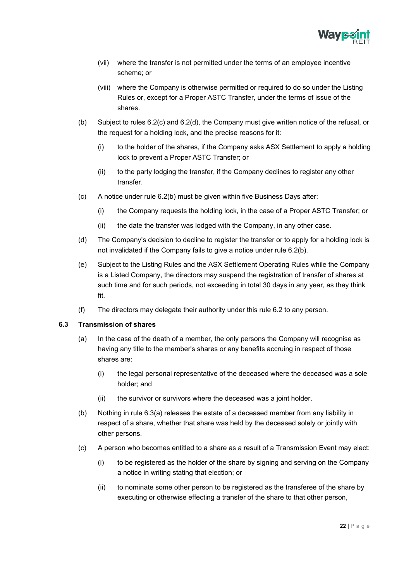

- (vii) where the transfer is not permitted under the terms of an employee incentive scheme; or
- (viii) where the Company is otherwise permitted or required to do so under the Listing Rules or, except for a Proper ASTC Transfer, under the terms of issue of the shares.
- (b) Subject to rules 6.2(c) and 6.2(d), the Company must give written notice of the refusal, or the request for a holding lock, and the precise reasons for it:
	- (i) to the holder of the shares, if the Company asks ASX Settlement to apply a holding lock to prevent a Proper ASTC Transfer; or
	- (ii) to the party lodging the transfer, if the Company declines to register any other transfer.
- (c) A notice under rule 6.2(b) must be given within five Business Days after:
	- (i) the Company requests the holding lock, in the case of a Proper ASTC Transfer; or
	- (ii) the date the transfer was lodged with the Company, in any other case.
- (d) The Company's decision to decline to register the transfer or to apply for a holding lock is not invalidated if the Company fails to give a notice under rule 6.2(b).
- (e) Subject to the Listing Rules and the ASX Settlement Operating Rules while the Company is a Listed Company, the directors may suspend the registration of transfer of shares at such time and for such periods, not exceeding in total 30 days in any year, as they think fit.
- (f) The directors may delegate their authority under this rule 6.2 to any person.

#### <span id="page-23-0"></span>**6.3 Transmission of shares**

- (a) In the case of the death of a member, the only persons the Company will recognise as having any title to the member's shares or any benefits accruing in respect of those shares are:
	- (i) the legal personal representative of the deceased where the deceased was a sole holder; and
	- (ii) the survivor or survivors where the deceased was a joint holder.
- (b) Nothing in rule 6.3(a) releases the estate of a deceased member from any liability in respect of a share, whether that share was held by the deceased solely or jointly with other persons.
- (c) A person who becomes entitled to a share as a result of a Transmission Event may elect:
	- (i) to be registered as the holder of the share by signing and serving on the Company a notice in writing stating that election; or
	- (ii) to nominate some other person to be registered as the transferee of the share by executing or otherwise effecting a transfer of the share to that other person,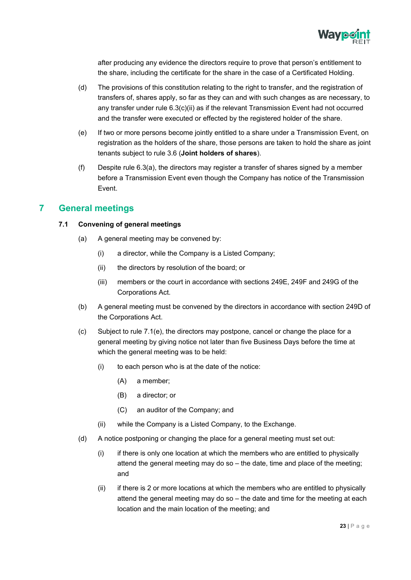

after producing any evidence the directors require to prove that person's entitlement to the share, including the certificate for the share in the case of a Certificated Holding.

- (d) The provisions of this constitution relating to the right to transfer, and the registration of transfers of, shares apply, so far as they can and with such changes as are necessary, to any transfer under rule  $6.3(c)(ii)$  as if the relevant Transmission Event had not occurred and the transfer were executed or effected by the registered holder of the share.
- (e) If two or more persons become jointly entitled to a share under a Transmission Event, on registration as the holders of the share, those persons are taken to hold the share as joint tenants subject to rule 3.6 (**Joint holders of shares**).
- (f) Despite rule 6.3(a), the directors may register a transfer of shares signed by a member before a Transmission Event even though the Company has notice of the Transmission Event.

# <span id="page-24-1"></span><span id="page-24-0"></span>**7 General meetings**

## **7.1 Convening of general meetings**

- (a) A general meeting may be convened by:
	- (i) a director, while the Company is a Listed Company;
	- (ii) the directors by resolution of the board; or
	- (iii) members or the court in accordance with sections 249E, 249F and 249G of the Corporations Act.
- (b) A general meeting must be convened by the directors in accordance with section 249D of the Corporations Act.
- (c) Subject to rule 7.1(e), the directors may postpone, cancel or change the place for a general meeting by giving notice not later than five Business Days before the time at which the general meeting was to be held:
	- $(i)$  to each person who is at the date of the notice:
		- (A) a member;
		- (B) a director; or
		- (C) an auditor of the Company; and
	- (ii) while the Company is a Listed Company, to the Exchange.
- (d) A notice postponing or changing the place for a general meeting must set out:
	- (i) if there is only one location at which the members who are entitled to physically attend the general meeting may do so – the date, time and place of the meeting; and
	- (ii) if there is 2 or more locations at which the members who are entitled to physically attend the general meeting may do so – the date and time for the meeting at each location and the main location of the meeting; and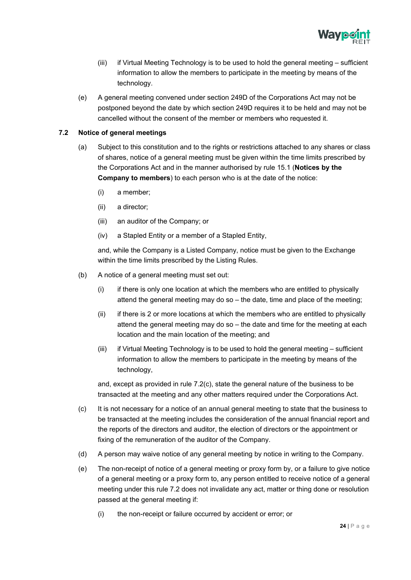

- (iii) if Virtual Meeting Technology is to be used to hold the general meeting sufficient information to allow the members to participate in the meeting by means of the technology.
- (e) A general meeting convened under section 249D of the Corporations Act may not be postponed beyond the date by which section 249D requires it to be held and may not be cancelled without the consent of the member or members who requested it.

#### <span id="page-25-0"></span>**7.2 Notice of general meetings**

- (a) Subject to this constitution and to the rights or restrictions attached to any shares or class of shares, notice of a general meeting must be given within the time limits prescribed by the Corporations Act and in the manner authorised by rule 15.1 (**Notices by the Company to members**) to each person who is at the date of the notice:
	- (i) a member;
	- (ii) a director;
	- (iii) an auditor of the Company; or
	- (iv) a Stapled Entity or a member of a Stapled Entity,

and, while the Company is a Listed Company, notice must be given to the Exchange within the time limits prescribed by the Listing Rules.

- (b) A notice of a general meeting must set out:
	- (i) if there is only one location at which the members who are entitled to physically attend the general meeting may do so – the date, time and place of the meeting;
	- (ii) if there is 2 or more locations at which the members who are entitled to physically attend the general meeting may do so – the date and time for the meeting at each location and the main location of the meeting; and
	- (iii) if Virtual Meeting Technology is to be used to hold the general meeting sufficient information to allow the members to participate in the meeting by means of the technology,

and, except as provided in rule 7.2(c), state the general nature of the business to be transacted at the meeting and any other matters required under the Corporations Act.

- (c) It is not necessary for a notice of an annual general meeting to state that the business to be transacted at the meeting includes the consideration of the annual financial report and the reports of the directors and auditor, the election of directors or the appointment or fixing of the remuneration of the auditor of the Company.
- (d) A person may waive notice of any general meeting by notice in writing to the Company.
- (e) The non-receipt of notice of a general meeting or proxy form by, or a failure to give notice of a general meeting or a proxy form to, any person entitled to receive notice of a general meeting under this rule 7.2 does not invalidate any act, matter or thing done or resolution passed at the general meeting if:
	- (i) the non-receipt or failure occurred by accident or error; or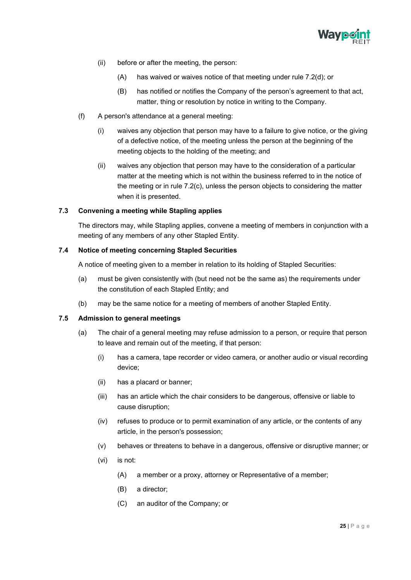

- (ii) before or after the meeting, the person:
	- (A) has waived or waives notice of that meeting under rule 7.2(d); or
	- (B) has notified or notifies the Company of the person's agreement to that act, matter, thing or resolution by notice in writing to the Company.
- (f) A person's attendance at a general meeting:
	- (i) waives any objection that person may have to a failure to give notice, or the giving of a defective notice, of the meeting unless the person at the beginning of the meeting objects to the holding of the meeting; and
	- (ii) waives any objection that person may have to the consideration of a particular matter at the meeting which is not within the business referred to in the notice of the meeting or in rule 7.2(c), unless the person objects to considering the matter when it is presented.

#### <span id="page-26-0"></span>**7.3 Convening a meeting while Stapling applies**

The directors may, while Stapling applies, convene a meeting of members in conjunction with a meeting of any members of any other Stapled Entity.

#### <span id="page-26-1"></span>**7.4 Notice of meeting concerning Stapled Securities**

A notice of meeting given to a member in relation to its holding of Stapled Securities:

- (a) must be given consistently with (but need not be the same as) the requirements under the constitution of each Stapled Entity; and
- (b) may be the same notice for a meeting of members of another Stapled Entity.

#### <span id="page-26-2"></span>**7.5 Admission to general meetings**

- (a) The chair of a general meeting may refuse admission to a person, or require that person to leave and remain out of the meeting, if that person:
	- (i) has a camera, tape recorder or video camera, or another audio or visual recording device;
	- (ii) has a placard or banner;
	- (iii) has an article which the chair considers to be dangerous, offensive or liable to cause disruption;
	- (iv) refuses to produce or to permit examination of any article, or the contents of any article, in the person's possession;
	- (v) behaves or threatens to behave in a dangerous, offensive or disruptive manner; or
	- (vi) is not:
		- (A) a member or a proxy, attorney or Representative of a member;
		- (B) a director;
		- (C) an auditor of the Company; or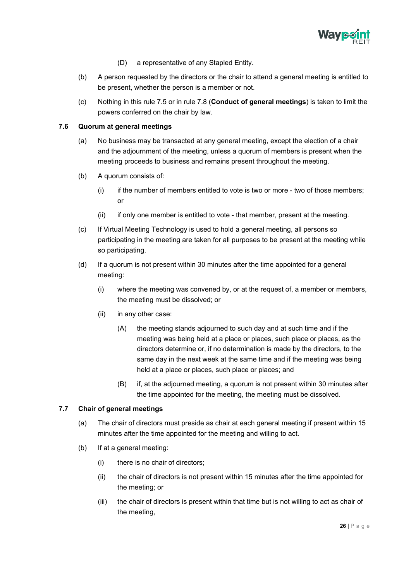

- (D) a representative of any Stapled Entity.
- (b) A person requested by the directors or the chair to attend a general meeting is entitled to be present, whether the person is a member or not.
- (c) Nothing in this rule 7.5 or in rule 7.8 (**Conduct of general meetings**) is taken to limit the powers conferred on the chair by law.

#### <span id="page-27-0"></span>**7.6 Quorum at general meetings**

- (a) No business may be transacted at any general meeting, except the election of a chair and the adjournment of the meeting, unless a quorum of members is present when the meeting proceeds to business and remains present throughout the meeting.
- (b) A quorum consists of:
	- $(i)$  if the number of members entitled to vote is two or more two of those members; or
	- (ii) if only one member is entitled to vote that member, present at the meeting.
- (c) If Virtual Meeting Technology is used to hold a general meeting, all persons so participating in the meeting are taken for all purposes to be present at the meeting while so participating.
- (d) If a quorum is not present within 30 minutes after the time appointed for a general meeting:
	- (i) where the meeting was convened by, or at the request of, a member or members, the meeting must be dissolved; or
	- (ii) in any other case:
		- (A) the meeting stands adjourned to such day and at such time and if the meeting was being held at a place or places, such place or places, as the directors determine or, if no determination is made by the directors, to the same day in the next week at the same time and if the meeting was being held at a place or places, such place or places; and
		- (B) if, at the adjourned meeting, a quorum is not present within 30 minutes after the time appointed for the meeting, the meeting must be dissolved.

#### <span id="page-27-1"></span>**7.7 Chair of general meetings**

- (a) The chair of directors must preside as chair at each general meeting if present within 15 minutes after the time appointed for the meeting and willing to act.
- (b) If at a general meeting:
	- (i) there is no chair of directors;
	- (ii) the chair of directors is not present within 15 minutes after the time appointed for the meeting; or
	- (iii) the chair of directors is present within that time but is not willing to act as chair of the meeting,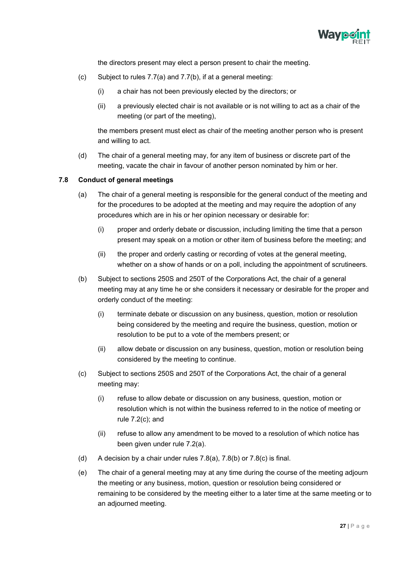

the directors present may elect a person present to chair the meeting.

- (c) Subject to rules 7.7(a) and 7.7(b), if at a general meeting:
	- (i) a chair has not been previously elected by the directors; or
	- (ii) a previously elected chair is not available or is not willing to act as a chair of the meeting (or part of the meeting),

the members present must elect as chair of the meeting another person who is present and willing to act.

(d) The chair of a general meeting may, for any item of business or discrete part of the meeting, vacate the chair in favour of another person nominated by him or her.

#### <span id="page-28-0"></span>**7.8 Conduct of general meetings**

- (a) The chair of a general meeting is responsible for the general conduct of the meeting and for the procedures to be adopted at the meeting and may require the adoption of any procedures which are in his or her opinion necessary or desirable for:
	- (i) proper and orderly debate or discussion, including limiting the time that a person present may speak on a motion or other item of business before the meeting; and
	- (ii) the proper and orderly casting or recording of votes at the general meeting, whether on a show of hands or on a poll, including the appointment of scrutineers.
- (b) Subject to sections 250S and 250T of the Corporations Act, the chair of a general meeting may at any time he or she considers it necessary or desirable for the proper and orderly conduct of the meeting:
	- (i) terminate debate or discussion on any business, question, motion or resolution being considered by the meeting and require the business, question, motion or resolution to be put to a vote of the members present; or
	- (ii) allow debate or discussion on any business, question, motion or resolution being considered by the meeting to continue.
- (c) Subject to sections 250S and 250T of the Corporations Act, the chair of a general meeting may:
	- (i) refuse to allow debate or discussion on any business, question, motion or resolution which is not within the business referred to in the notice of meeting or rule 7.2(c); and
	- (ii) refuse to allow any amendment to be moved to a resolution of which notice has been given under rule 7.2(a).
- (d) A decision by a chair under rules 7.8(a), 7.8(b) or 7.8(c) is final.
- (e) The chair of a general meeting may at any time during the course of the meeting adjourn the meeting or any business, motion, question or resolution being considered or remaining to be considered by the meeting either to a later time at the same meeting or to an adjourned meeting.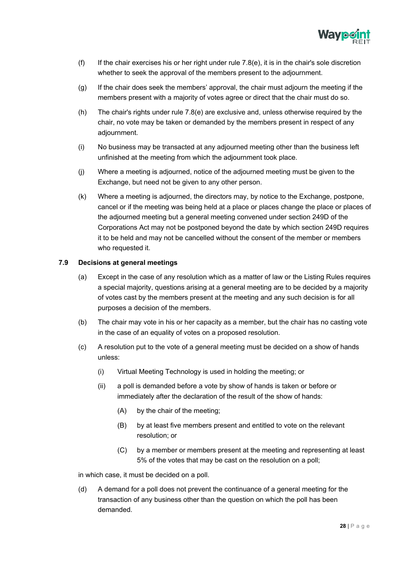

- (f) If the chair exercises his or her right under rule  $7.8(e)$ , it is in the chair's sole discretion whether to seek the approval of the members present to the adjournment.
- (g) If the chair does seek the members' approval, the chair must adjourn the meeting if the members present with a majority of votes agree or direct that the chair must do so.
- (h) The chair's rights under rule 7.8(e) are exclusive and, unless otherwise required by the chair, no vote may be taken or demanded by the members present in respect of any adjournment.
- (i) No business may be transacted at any adjourned meeting other than the business left unfinished at the meeting from which the adjournment took place.
- (j) Where a meeting is adjourned, notice of the adjourned meeting must be given to the Exchange, but need not be given to any other person.
- (k) Where a meeting is adjourned, the directors may, by notice to the Exchange, postpone, cancel or if the meeting was being held at a place or places change the place or places of the adjourned meeting but a general meeting convened under section 249D of the Corporations Act may not be postponed beyond the date by which section 249D requires it to be held and may not be cancelled without the consent of the member or members who requested it.

#### <span id="page-29-0"></span>**7.9 Decisions at general meetings**

- (a) Except in the case of any resolution which as a matter of law or the Listing Rules requires a special majority, questions arising at a general meeting are to be decided by a majority of votes cast by the members present at the meeting and any such decision is for all purposes a decision of the members.
- (b) The chair may vote in his or her capacity as a member, but the chair has no casting vote in the case of an equality of votes on a proposed resolution.
- (c) A resolution put to the vote of a general meeting must be decided on a show of hands unless:
	- (i) Virtual Meeting Technology is used in holding the meeting; or
	- (ii) a poll is demanded before a vote by show of hands is taken or before or immediately after the declaration of the result of the show of hands:
		- (A) by the chair of the meeting;
		- (B) by at least five members present and entitled to vote on the relevant resolution; or
		- (C) by a member or members present at the meeting and representing at least 5% of the votes that may be cast on the resolution on a poll;

in which case, it must be decided on a poll.

(d) A demand for a poll does not prevent the continuance of a general meeting for the transaction of any business other than the question on which the poll has been demanded.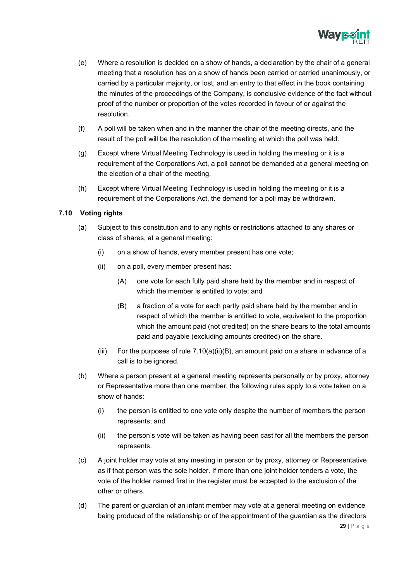

- (e) Where a resolution is decided on a show of hands, a declaration by the chair of a general meeting that a resolution has on a show of hands been carried or carried unanimously, or carried by a particular majority, or lost, and an entry to that effect in the book containing the minutes of the proceedings of the Company, is conclusive evidence of the fact without proof of the number or proportion of the votes recorded in favour of or against the resolution.
- (f) A poll will be taken when and in the manner the chair of the meeting directs, and the result of the poll will be the resolution of the meeting at which the poll was held.
- (g) Except where Virtual Meeting Technology is used in holding the meeting or it is a requirement of the Corporations Act, a poll cannot be demanded at a general meeting on the election of a chair of the meeting.
- (h) Except where Virtual Meeting Technology is used in holding the meeting or it is a requirement of the Corporations Act, the demand for a poll may be withdrawn.

#### **7.10 Voting rights**

- <span id="page-30-0"></span>(a) Subject to this constitution and to any rights or restrictions attached to any shares or class of shares, at a general meeting:
	- (i) on a show of hands, every member present has one vote;
	- (ii) on a poll, every member present has:
		- (A) one vote for each fully paid share held by the member and in respect of which the member is entitled to vote; and
		- (B) a fraction of a vote for each partly paid share held by the member and in respect of which the member is entitled to vote, equivalent to the proportion which the amount paid (not credited) on the share bears to the total amounts paid and payable (excluding amounts credited) on the share.
	- (iii) For the purposes of rule  $7.10(a)(ii)(B)$ , an amount paid on a share in advance of a call is to be ignored.
- (b) Where a person present at a general meeting represents personally or by proxy, attorney or Representative more than one member, the following rules apply to a vote taken on a show of hands:
	- (i) the person is entitled to one vote only despite the number of members the person represents; and
	- (ii) the person's vote will be taken as having been cast for all the members the person represents.
- (c) A joint holder may vote at any meeting in person or by proxy, attorney or Representative as if that person was the sole holder. If more than one joint holder tenders a vote, the vote of the holder named first in the register must be accepted to the exclusion of the other or others.
- (d) The parent or guardian of an infant member may vote at a general meeting on evidence being produced of the relationship or of the appointment of the guardian as the directors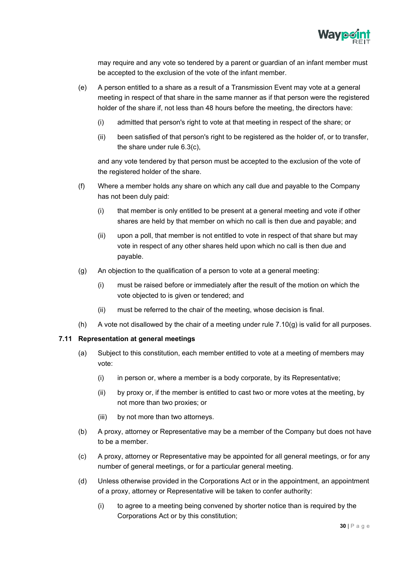

may require and any vote so tendered by a parent or guardian of an infant member must be accepted to the exclusion of the vote of the infant member.

- (e) A person entitled to a share as a result of a Transmission Event may vote at a general meeting in respect of that share in the same manner as if that person were the registered holder of the share if, not less than 48 hours before the meeting, the directors have:
	- (i) admitted that person's right to vote at that meeting in respect of the share; or
	- (ii) been satisfied of that person's right to be registered as the holder of, or to transfer, the share under rule 6.3(c),

and any vote tendered by that person must be accepted to the exclusion of the vote of the registered holder of the share.

- (f) Where a member holds any share on which any call due and payable to the Company has not been duly paid:
	- (i) that member is only entitled to be present at a general meeting and vote if other shares are held by that member on which no call is then due and payable; and
	- (ii) upon a poll, that member is not entitled to vote in respect of that share but may vote in respect of any other shares held upon which no call is then due and payable.
- (g) An objection to the qualification of a person to vote at a general meeting:
	- (i) must be raised before or immediately after the result of the motion on which the vote objected to is given or tendered; and
	- (ii) must be referred to the chair of the meeting, whose decision is final.
- (h) A vote not disallowed by the chair of a meeting under rule 7.10(g) is valid for all purposes.

#### <span id="page-31-0"></span>**7.11 Representation at general meetings**

- (a) Subject to this constitution, each member entitled to vote at a meeting of members may vote:
	- (i) in person or, where a member is a body corporate, by its Representative;
	- (ii) by proxy or, if the member is entitled to cast two or more votes at the meeting, by not more than two proxies; or
	- (iii) by not more than two attorneys.
- (b) A proxy, attorney or Representative may be a member of the Company but does not have to be a member.
- (c) A proxy, attorney or Representative may be appointed for all general meetings, or for any number of general meetings, or for a particular general meeting.
- (d) Unless otherwise provided in the Corporations Act or in the appointment, an appointment of a proxy, attorney or Representative will be taken to confer authority:
	- (i) to agree to a meeting being convened by shorter notice than is required by the Corporations Act or by this constitution;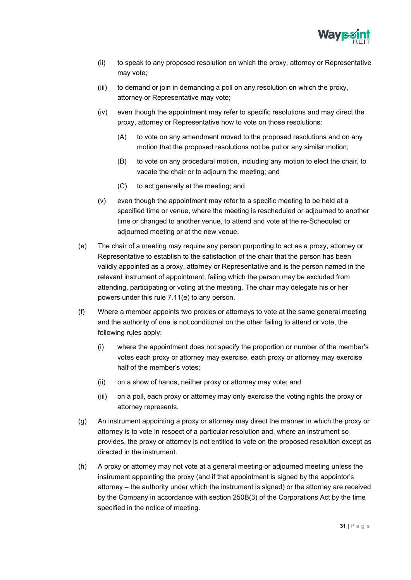

- (ii) to speak to any proposed resolution on which the proxy, attorney or Representative may vote;
- (iii) to demand or join in demanding a poll on any resolution on which the proxy, attorney or Representative may vote;
- (iv) even though the appointment may refer to specific resolutions and may direct the proxy, attorney or Representative how to vote on those resolutions:
	- (A) to vote on any amendment moved to the proposed resolutions and on any motion that the proposed resolutions not be put or any similar motion;
	- (B) to vote on any procedural motion, including any motion to elect the chair, to vacate the chair or to adjourn the meeting; and
	- (C) to act generally at the meeting; and
- (v) even though the appointment may refer to a specific meeting to be held at a specified time or venue, where the meeting is rescheduled or adjourned to another time or changed to another venue, to attend and vote at the re-Scheduled or adjourned meeting or at the new venue.
- (e) The chair of a meeting may require any person purporting to act as a proxy, attorney or Representative to establish to the satisfaction of the chair that the person has been validly appointed as a proxy, attorney or Representative and is the person named in the relevant instrument of appointment, failing which the person may be excluded from attending, participating or voting at the meeting. The chair may delegate his or her powers under this rule 7.11(e) to any person.
- (f) Where a member appoints two proxies or attorneys to vote at the same general meeting and the authority of one is not conditional on the other failing to attend or vote, the following rules apply:
	- (i) where the appointment does not specify the proportion or number of the member's votes each proxy or attorney may exercise, each proxy or attorney may exercise half of the member's votes;
	- (ii) on a show of hands, neither proxy or attorney may vote; and
	- (iii) on a poll, each proxy or attorney may only exercise the voting rights the proxy or attorney represents.
- (g) An instrument appointing a proxy or attorney may direct the manner in which the proxy or attorney is to vote in respect of a particular resolution and, where an instrument so provides, the proxy or attorney is not entitled to vote on the proposed resolution except as directed in the instrument.
- (h) A proxy or attorney may not vote at a general meeting or adjourned meeting unless the instrument appointing the proxy (and if that appointment is signed by the appointor's attorney – the authority under which the instrument is signed) or the attorney are received by the Company in accordance with section 250B(3) of the Corporations Act by the time specified in the notice of meeting.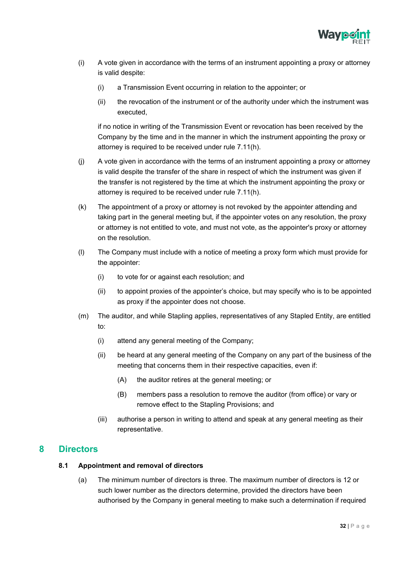

- (i) A vote given in accordance with the terms of an instrument appointing a proxy or attorney is valid despite:
	- (i) a Transmission Event occurring in relation to the appointer; or
	- (ii) the revocation of the instrument or of the authority under which the instrument was executed,

if no notice in writing of the Transmission Event or revocation has been received by the Company by the time and in the manner in which the instrument appointing the proxy or attorney is required to be received under rule 7.11(h).

- (j) A vote given in accordance with the terms of an instrument appointing a proxy or attorney is valid despite the transfer of the share in respect of which the instrument was given if the transfer is not registered by the time at which the instrument appointing the proxy or attorney is required to be received under rule 7.11(h).
- (k) The appointment of a proxy or attorney is not revoked by the appointer attending and taking part in the general meeting but, if the appointer votes on any resolution, the proxy or attorney is not entitled to vote, and must not vote, as the appointer's proxy or attorney on the resolution.
- (l) The Company must include with a notice of meeting a proxy form which must provide for the appointer:
	- (i) to vote for or against each resolution; and
	- (ii) to appoint proxies of the appointer's choice, but may specify who is to be appointed as proxy if the appointer does not choose.
- (m) The auditor, and while Stapling applies, representatives of any Stapled Entity, are entitled to:
	- (i) attend any general meeting of the Company;
	- (ii) be heard at any general meeting of the Company on any part of the business of the meeting that concerns them in their respective capacities, even if:
		- (A) the auditor retires at the general meeting; or
		- (B) members pass a resolution to remove the auditor (from office) or vary or remove effect to the Stapling Provisions; and
	- (iii) authorise a person in writing to attend and speak at any general meeting as their representative.

# <span id="page-33-1"></span><span id="page-33-0"></span>**8 Directors**

#### **8.1 Appointment and removal of directors**

(a) The minimum number of directors is three. The maximum number of directors is 12 or such lower number as the directors determine, provided the directors have been authorised by the Company in general meeting to make such a determination if required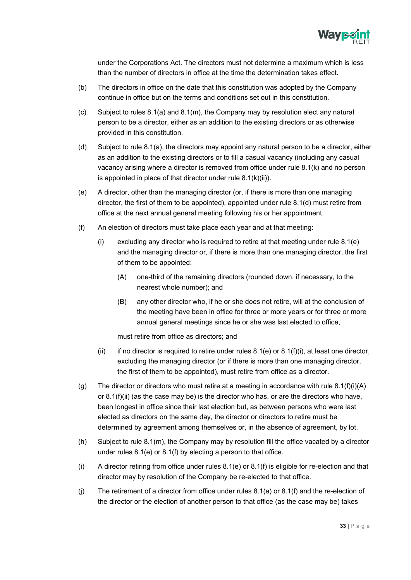

under the Corporations Act. The directors must not determine a maximum which is less than the number of directors in office at the time the determination takes effect.

- (b) The directors in office on the date that this constitution was adopted by the Company continue in office but on the terms and conditions set out in this constitution.
- (c) Subject to rules 8.1(a) and 8.1(m), the Company may by resolution elect any natural person to be a director, either as an addition to the existing directors or as otherwise provided in this constitution.
- (d) Subject to rule 8.1(a), the directors may appoint any natural person to be a director, either as an addition to the existing directors or to fill a casual vacancy (including any casual vacancy arising where a director is removed from office under rule 8.1(k) and no person is appointed in place of that director under rule 8.1(k)(ii)).
- (e) A director, other than the managing director (or, if there is more than one managing director, the first of them to be appointed), appointed under rule 8.1(d) must retire from office at the next annual general meeting following his or her appointment.
- (f) An election of directors must take place each year and at that meeting:
	- (i) excluding any director who is required to retire at that meeting under rule 8.1(e) and the managing director or, if there is more than one managing director, the first of them to be appointed:
		- (A) one-third of the remaining directors (rounded down, if necessary, to the nearest whole number); and
		- (B) any other director who, if he or she does not retire, will at the conclusion of the meeting have been in office for three or more years or for three or more annual general meetings since he or she was last elected to office,

must retire from office as directors; and

- (ii) if no director is required to retire under rules  $8.1(e)$  or  $8.1(f)(i)$ , at least one director, excluding the managing director (or if there is more than one managing director, the first of them to be appointed), must retire from office as a director.
- (g) The director or directors who must retire at a meeting in accordance with rule  $8.1(f)(i)(A)$ or 8.1(f)(ii) (as the case may be) is the director who has, or are the directors who have, been longest in office since their last election but, as between persons who were last elected as directors on the same day, the director or directors to retire must be determined by agreement among themselves or, in the absence of agreement, by lot.
- (h) Subject to rule 8.1(m), the Company may by resolution fill the office vacated by a director under rules 8.1(e) or 8.1(f) by electing a person to that office.
- (i) A director retiring from office under rules 8.1(e) or 8.1(f) is eligible for re-election and that director may by resolution of the Company be re-elected to that office.
- (j) The retirement of a director from office under rules 8.1(e) or 8.1(f) and the re-election of the director or the election of another person to that office (as the case may be) takes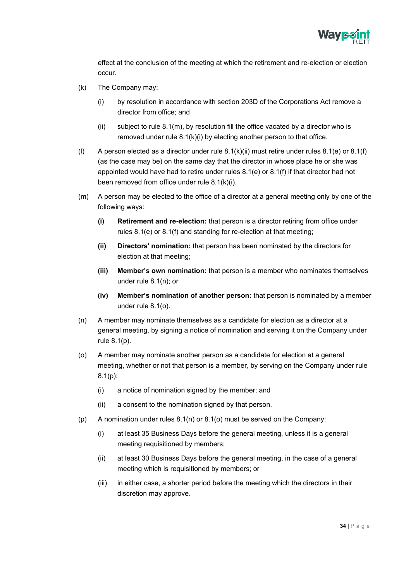

effect at the conclusion of the meeting at which the retirement and re-election or election occur.

- (k) The Company may:
	- (i) by resolution in accordance with section 203D of the Corporations Act remove a director from office; and
	- (ii) subject to rule  $8.1(m)$ , by resolution fill the office vacated by a director who is removed under rule 8.1(k)(i) by electing another person to that office.
- (I) A person elected as a director under rule  $8.1(k)(ii)$  must retire under rules  $8.1(e)$  or  $8.1(f)$ (as the case may be) on the same day that the director in whose place he or she was appointed would have had to retire under rules 8.1(e) or 8.1(f) if that director had not been removed from office under rule 8.1(k)(i).
- (m) A person may be elected to the office of a director at a general meeting only by one of the following ways:
	- **(i) Retirement and re-election:** that person is a director retiring from office under rules 8.1(e) or 8.1(f) and standing for re-election at that meeting;
	- **(ii) Directors' nomination:** that person has been nominated by the directors for election at that meeting;
	- **(iii) Member's own nomination:** that person is a member who nominates themselves under rule 8.1(n); or
	- **(iv) Member's nomination of another person:** that person is nominated by a member under rule 8.1(o).
- (n) A member may nominate themselves as a candidate for election as a director at a general meeting, by signing a notice of nomination and serving it on the Company under rule 8.1(p).
- (o) A member may nominate another person as a candidate for election at a general meeting, whether or not that person is a member, by serving on the Company under rule 8.1(p):
	- (i) a notice of nomination signed by the member; and
	- (ii) a consent to the nomination signed by that person.
- (p) A nomination under rules  $8.1(n)$  or  $8.1(o)$  must be served on the Company:
	- (i) at least 35 Business Days before the general meeting, unless it is a general meeting requisitioned by members;
	- (ii) at least 30 Business Days before the general meeting, in the case of a general meeting which is requisitioned by members; or
	- (iii) in either case, a shorter period before the meeting which the directors in their discretion may approve.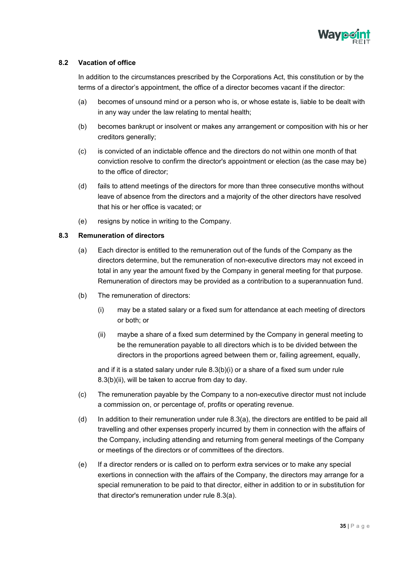

#### <span id="page-36-0"></span>**8.2 Vacation of office**

In addition to the circumstances prescribed by the Corporations Act, this constitution or by the terms of a director's appointment, the office of a director becomes vacant if the director:

- (a) becomes of unsound mind or a person who is, or whose estate is, liable to be dealt with in any way under the law relating to mental health;
- (b) becomes bankrupt or insolvent or makes any arrangement or composition with his or her creditors generally;
- (c) is convicted of an indictable offence and the directors do not within one month of that conviction resolve to confirm the director's appointment or election (as the case may be) to the office of director;
- (d) fails to attend meetings of the directors for more than three consecutive months without leave of absence from the directors and a majority of the other directors have resolved that his or her office is vacated; or
- (e) resigns by notice in writing to the Company.

#### <span id="page-36-1"></span>**8.3 Remuneration of directors**

- (a) Each director is entitled to the remuneration out of the funds of the Company as the directors determine, but the remuneration of non-executive directors may not exceed in total in any year the amount fixed by the Company in general meeting for that purpose. Remuneration of directors may be provided as a contribution to a superannuation fund.
- (b) The remuneration of directors:
	- (i) may be a stated salary or a fixed sum for attendance at each meeting of directors or both; or
	- (ii) maybe a share of a fixed sum determined by the Company in general meeting to be the remuneration payable to all directors which is to be divided between the directors in the proportions agreed between them or, failing agreement, equally,

and if it is a stated salary under rule 8.3(b)(i) or a share of a fixed sum under rule 8.3(b)(ii), will be taken to accrue from day to day.

- (c) The remuneration payable by the Company to a non-executive director must not include a commission on, or percentage of, profits or operating revenue.
- (d) In addition to their remuneration under rule 8.3(a), the directors are entitled to be paid all travelling and other expenses properly incurred by them in connection with the affairs of the Company, including attending and returning from general meetings of the Company or meetings of the directors or of committees of the directors.
- (e) If a director renders or is called on to perform extra services or to make any special exertions in connection with the affairs of the Company, the directors may arrange for a special remuneration to be paid to that director, either in addition to or in substitution for that director's remuneration under rule 8.3(a).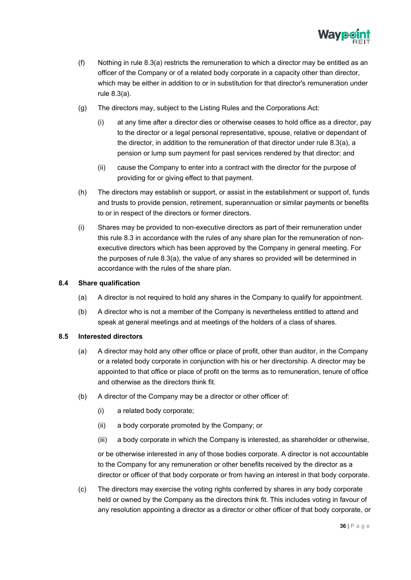

- (f) Nothing in rule 8.3(a) restricts the remuneration to which a director may be entitled as an officer of the Company or of a related body corporate in a capacity other than director, which may be either in addition to or in substitution for that director's remuneration under rule 8.3(a).
- (g) The directors may, subject to the Listing Rules and the Corporations Act:
	- (i) at any time after a director dies or otherwise ceases to hold office as a director, pay to the director or a legal personal representative, spouse, relative or dependant of the director, in addition to the remuneration of that director under rule 8.3(a), a pension or lump sum payment for past services rendered by that director; and
	- (ii) cause the Company to enter into a contract with the director for the purpose of providing for or giving effect to that payment.
- (h) The directors may establish or support, or assist in the establishment or support of, funds and trusts to provide pension, retirement, superannuation or similar payments or benefits to or in respect of the directors or former directors.
- (i) Shares may be provided to non-executive directors as part of their remuneration under this rule 8.3 in accordance with the rules of any share plan for the remuneration of nonexecutive directors which has been approved by the Company in general meeting. For the purposes of rule 8.3(a), the value of any shares so provided will be determined in accordance with the rules of the share plan.

#### <span id="page-37-0"></span>**8.4 Share qualification**

- (a) A director is not required to hold any shares in the Company to qualify for appointment.
- (b) A director who is not a member of the Company is nevertheless entitled to attend and speak at general meetings and at meetings of the holders of a class of shares.

#### <span id="page-37-1"></span>**8.5 Interested directors**

- (a) A director may hold any other office or place of profit, other than auditor, in the Company or a related body corporate in conjunction with his or her directorship. A director may be appointed to that office or place of profit on the terms as to remuneration, tenure of office and otherwise as the directors think fit.
- (b) A director of the Company may be a director or other officer of:
	- (i) a related body corporate;
	- (ii) a body corporate promoted by the Company; or
	- (iii) a body corporate in which the Company is interested, as shareholder or otherwise,

or be otherwise interested in any of those bodies corporate. A director is not accountable to the Company for any remuneration or other benefits received by the director as a director or officer of that body corporate or from having an interest in that body corporate.

(c) The directors may exercise the voting rights conferred by shares in any body corporate held or owned by the Company as the directors think fit. This includes voting in favour of any resolution appointing a director as a director or other officer of that body corporate, or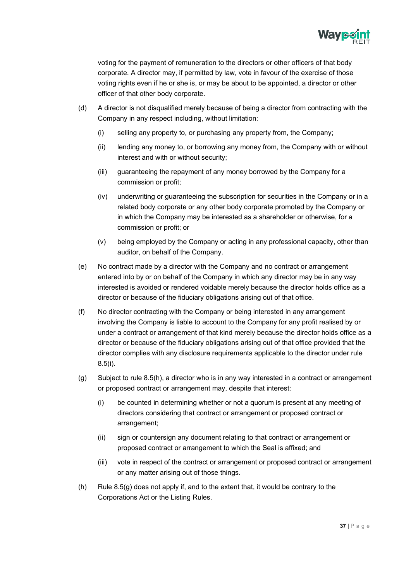

voting for the payment of remuneration to the directors or other officers of that body corporate. A director may, if permitted by law, vote in favour of the exercise of those voting rights even if he or she is, or may be about to be appointed, a director or other officer of that other body corporate.

- (d) A director is not disqualified merely because of being a director from contracting with the Company in any respect including, without limitation:
	- (i) selling any property to, or purchasing any property from, the Company;
	- (ii) lending any money to, or borrowing any money from, the Company with or without interest and with or without security;
	- (iii) guaranteeing the repayment of any money borrowed by the Company for a commission or profit;
	- (iv) underwriting or guaranteeing the subscription for securities in the Company or in a related body corporate or any other body corporate promoted by the Company or in which the Company may be interested as a shareholder or otherwise, for a commission or profit; or
	- (v) being employed by the Company or acting in any professional capacity, other than auditor, on behalf of the Company.
- (e) No contract made by a director with the Company and no contract or arrangement entered into by or on behalf of the Company in which any director may be in any way interested is avoided or rendered voidable merely because the director holds office as a director or because of the fiduciary obligations arising out of that office.
- (f) No director contracting with the Company or being interested in any arrangement involving the Company is liable to account to the Company for any profit realised by or under a contract or arrangement of that kind merely because the director holds office as a director or because of the fiduciary obligations arising out of that office provided that the director complies with any disclosure requirements applicable to the director under rule 8.5(i).
- (g) Subject to rule 8.5(h), a director who is in any way interested in a contract or arrangement or proposed contract or arrangement may, despite that interest:
	- (i) be counted in determining whether or not a quorum is present at any meeting of directors considering that contract or arrangement or proposed contract or arrangement;
	- (ii) sign or countersign any document relating to that contract or arrangement or proposed contract or arrangement to which the Seal is affixed; and
	- (iii) vote in respect of the contract or arrangement or proposed contract or arrangement or any matter arising out of those things.
- (h) Rule 8.5(g) does not apply if, and to the extent that, it would be contrary to the Corporations Act or the Listing Rules.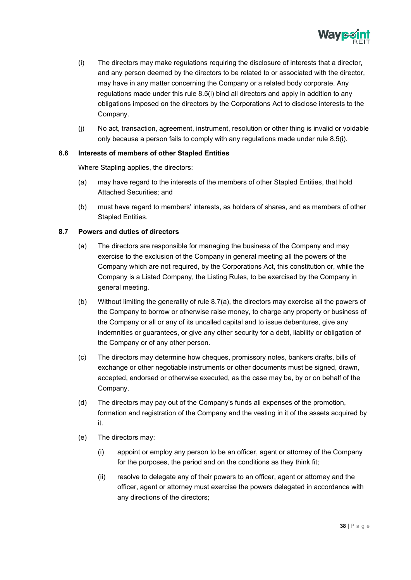

- (i) The directors may make regulations requiring the disclosure of interests that a director, and any person deemed by the directors to be related to or associated with the director, may have in any matter concerning the Company or a related body corporate. Any regulations made under this rule 8.5(i) bind all directors and apply in addition to any obligations imposed on the directors by the Corporations Act to disclose interests to the Company.
- (j) No act, transaction, agreement, instrument, resolution or other thing is invalid or voidable only because a person fails to comply with any regulations made under rule 8.5(i).

#### <span id="page-39-0"></span>**8.6 Interests of members of other Stapled Entities**

Where Stapling applies, the directors:

- (a) may have regard to the interests of the members of other Stapled Entities, that hold Attached Securities; and
- (b) must have regard to members' interests, as holders of shares, and as members of other Stapled Entities.

#### <span id="page-39-1"></span>**8.7 Powers and duties of directors**

- (a) The directors are responsible for managing the business of the Company and may exercise to the exclusion of the Company in general meeting all the powers of the Company which are not required, by the Corporations Act, this constitution or, while the Company is a Listed Company, the Listing Rules, to be exercised by the Company in general meeting.
- (b) Without limiting the generality of rule 8.7(a), the directors may exercise all the powers of the Company to borrow or otherwise raise money, to charge any property or business of the Company or all or any of its uncalled capital and to issue debentures, give any indemnities or guarantees, or give any other security for a debt, liability or obligation of the Company or of any other person.
- (c) The directors may determine how cheques, promissory notes, bankers drafts, bills of exchange or other negotiable instruments or other documents must be signed, drawn, accepted, endorsed or otherwise executed, as the case may be, by or on behalf of the Company.
- (d) The directors may pay out of the Company's funds all expenses of the promotion, formation and registration of the Company and the vesting in it of the assets acquired by it.
- (e) The directors may:
	- (i) appoint or employ any person to be an officer, agent or attorney of the Company for the purposes, the period and on the conditions as they think fit;
	- (ii) resolve to delegate any of their powers to an officer, agent or attorney and the officer, agent or attorney must exercise the powers delegated in accordance with any directions of the directors;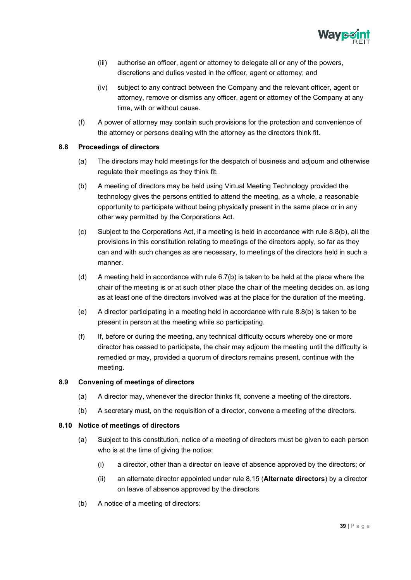

- (iii) authorise an officer, agent or attorney to delegate all or any of the powers, discretions and duties vested in the officer, agent or attorney; and
- (iv) subject to any contract between the Company and the relevant officer, agent or attorney, remove or dismiss any officer, agent or attorney of the Company at any time, with or without cause.
- (f) A power of attorney may contain such provisions for the protection and convenience of the attorney or persons dealing with the attorney as the directors think fit.

#### <span id="page-40-0"></span>**8.8 Proceedings of directors**

- (a) The directors may hold meetings for the despatch of business and adjourn and otherwise regulate their meetings as they think fit.
- (b) A meeting of directors may be held using Virtual Meeting Technology provided the technology gives the persons entitled to attend the meeting, as a whole, a reasonable opportunity to participate without being physically present in the same place or in any other way permitted by the Corporations Act.
- (c) Subject to the Corporations Act, if a meeting is held in accordance with rule 8.8(b), all the provisions in this constitution relating to meetings of the directors apply, so far as they can and with such changes as are necessary, to meetings of the directors held in such a manner.
- (d) A meeting held in accordance with rule 6.7(b) is taken to be held at the place where the chair of the meeting is or at such other place the chair of the meeting decides on, as long as at least one of the directors involved was at the place for the duration of the meeting.
- (e) A director participating in a meeting held in accordance with rule 8.8(b) is taken to be present in person at the meeting while so participating.
- (f) If, before or during the meeting, any technical difficulty occurs whereby one or more director has ceased to participate, the chair may adjourn the meeting until the difficulty is remedied or may, provided a quorum of directors remains present, continue with the meeting.

#### <span id="page-40-1"></span>**8.9 Convening of meetings of directors**

- (a) A director may, whenever the director thinks fit, convene a meeting of the directors.
- (b) A secretary must, on the requisition of a director, convene a meeting of the directors.

#### <span id="page-40-2"></span>**8.10 Notice of meetings of directors**

- (a) Subject to this constitution, notice of a meeting of directors must be given to each person who is at the time of giving the notice:
	- (i) a director, other than a director on leave of absence approved by the directors; or
	- (ii) an alternate director appointed under rule 8.15 (**Alternate directors**) by a director on leave of absence approved by the directors.
- (b) A notice of a meeting of directors: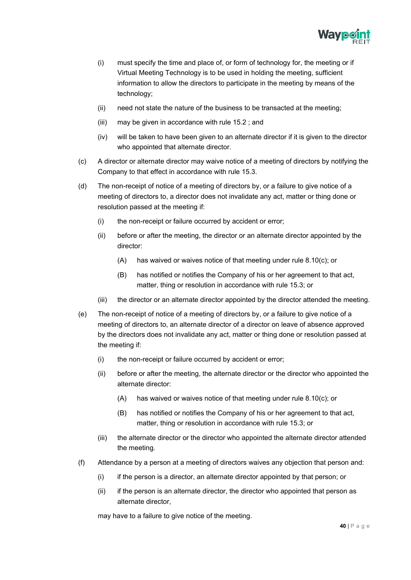

- (i) must specify the time and place of, or form of technology for, the meeting or if Virtual Meeting Technology is to be used in holding the meeting, sufficient information to allow the directors to participate in the meeting by means of the technology;
- (ii) need not state the nature of the business to be transacted at the meeting;
- (iii) may be given in accordance with rule 15.2 ; and
- (iv) will be taken to have been given to an alternate director if it is given to the director who appointed that alternate director.
- (c) A director or alternate director may waive notice of a meeting of directors by notifying the Company to that effect in accordance with rule 15.3.
- (d) The non-receipt of notice of a meeting of directors by, or a failure to give notice of a meeting of directors to, a director does not invalidate any act, matter or thing done or resolution passed at the meeting if:
	- (i) the non-receipt or failure occurred by accident or error;
	- (ii) before or after the meeting, the director or an alternate director appointed by the director:
		- (A) has waived or waives notice of that meeting under rule 8.10(c); or
		- (B) has notified or notifies the Company of his or her agreement to that act, matter, thing or resolution in accordance with rule 15.3; or
	- (iii) the director or an alternate director appointed by the director attended the meeting.
- (e) The non-receipt of notice of a meeting of directors by, or a failure to give notice of a meeting of directors to, an alternate director of a director on leave of absence approved by the directors does not invalidate any act, matter or thing done or resolution passed at the meeting if:
	- (i) the non-receipt or failure occurred by accident or error;
	- (ii) before or after the meeting, the alternate director or the director who appointed the alternate director:
		- (A) has waived or waives notice of that meeting under rule 8.10(c); or
		- (B) has notified or notifies the Company of his or her agreement to that act, matter, thing or resolution in accordance with rule 15.3; or
	- (iii) the alternate director or the director who appointed the alternate director attended the meeting.
- (f) Attendance by a person at a meeting of directors waives any objection that person and:
	- (i) if the person is a director, an alternate director appointed by that person; or
	- (ii) if the person is an alternate director, the director who appointed that person as alternate director,

may have to a failure to give notice of the meeting.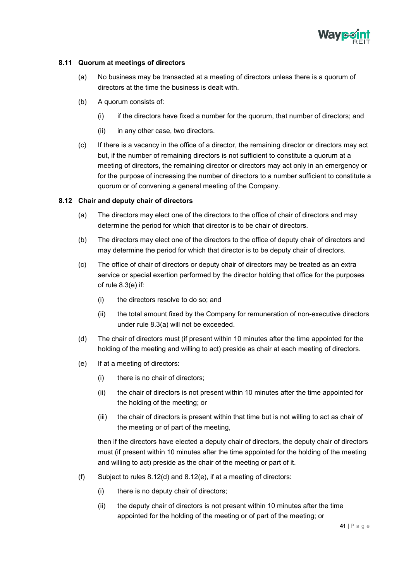

#### <span id="page-42-0"></span>**8.11 Quorum at meetings of directors**

- (a) No business may be transacted at a meeting of directors unless there is a quorum of directors at the time the business is dealt with.
- (b) A quorum consists of:
	- (i) if the directors have fixed a number for the quorum, that number of directors; and
	- (ii) in any other case, two directors.
- (c) If there is a vacancy in the office of a director, the remaining director or directors may act but, if the number of remaining directors is not sufficient to constitute a quorum at a meeting of directors, the remaining director or directors may act only in an emergency or for the purpose of increasing the number of directors to a number sufficient to constitute a quorum or of convening a general meeting of the Company.

#### <span id="page-42-1"></span>**8.12 Chair and deputy chair of directors**

- (a) The directors may elect one of the directors to the office of chair of directors and may determine the period for which that director is to be chair of directors.
- (b) The directors may elect one of the directors to the office of deputy chair of directors and may determine the period for which that director is to be deputy chair of directors.
- (c) The office of chair of directors or deputy chair of directors may be treated as an extra service or special exertion performed by the director holding that office for the purposes of rule 8.3(e) if:
	- (i) the directors resolve to do so; and
	- (ii) the total amount fixed by the Company for remuneration of non-executive directors under rule 8.3(a) will not be exceeded.
- (d) The chair of directors must (if present within 10 minutes after the time appointed for the holding of the meeting and willing to act) preside as chair at each meeting of directors.
- (e) If at a meeting of directors:
	- (i) there is no chair of directors;
	- (ii) the chair of directors is not present within 10 minutes after the time appointed for the holding of the meeting; or
	- (iii) the chair of directors is present within that time but is not willing to act as chair of the meeting or of part of the meeting,

then if the directors have elected a deputy chair of directors, the deputy chair of directors must (if present within 10 minutes after the time appointed for the holding of the meeting and willing to act) preside as the chair of the meeting or part of it.

- (f) Subject to rules 8.12(d) and 8.12(e), if at a meeting of directors:
	- (i) there is no deputy chair of directors;
	- (ii) the deputy chair of directors is not present within 10 minutes after the time appointed for the holding of the meeting or of part of the meeting; or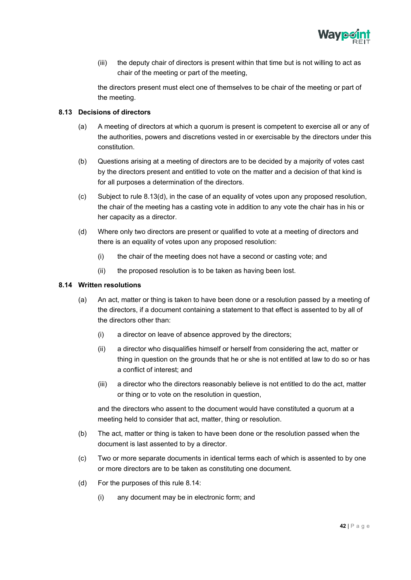

(iii) the deputy chair of directors is present within that time but is not willing to act as chair of the meeting or part of the meeting,

the directors present must elect one of themselves to be chair of the meeting or part of the meeting.

#### <span id="page-43-0"></span>**8.13 Decisions of directors**

- (a) A meeting of directors at which a quorum is present is competent to exercise all or any of the authorities, powers and discretions vested in or exercisable by the directors under this constitution.
- (b) Questions arising at a meeting of directors are to be decided by a majority of votes cast by the directors present and entitled to vote on the matter and a decision of that kind is for all purposes a determination of the directors.
- (c) Subject to rule 8.13(d), in the case of an equality of votes upon any proposed resolution, the chair of the meeting has a casting vote in addition to any vote the chair has in his or her capacity as a director.
- (d) Where only two directors are present or qualified to vote at a meeting of directors and there is an equality of votes upon any proposed resolution:
	- (i) the chair of the meeting does not have a second or casting vote; and
	- (ii) the proposed resolution is to be taken as having been lost.

#### <span id="page-43-1"></span>**8.14 Written resolutions**

- (a) An act, matter or thing is taken to have been done or a resolution passed by a meeting of the directors, if a document containing a statement to that effect is assented to by all of the directors other than:
	- (i) a director on leave of absence approved by the directors;
	- (ii) a director who disqualifies himself or herself from considering the act, matter or thing in question on the grounds that he or she is not entitled at law to do so or has a conflict of interest; and
	- (iii) a director who the directors reasonably believe is not entitled to do the act, matter or thing or to vote on the resolution in question,

and the directors who assent to the document would have constituted a quorum at a meeting held to consider that act, matter, thing or resolution.

- (b) The act, matter or thing is taken to have been done or the resolution passed when the document is last assented to by a director.
- (c) Two or more separate documents in identical terms each of which is assented to by one or more directors are to be taken as constituting one document.
- (d) For the purposes of this rule 8.14:
	- (i) any document may be in electronic form; and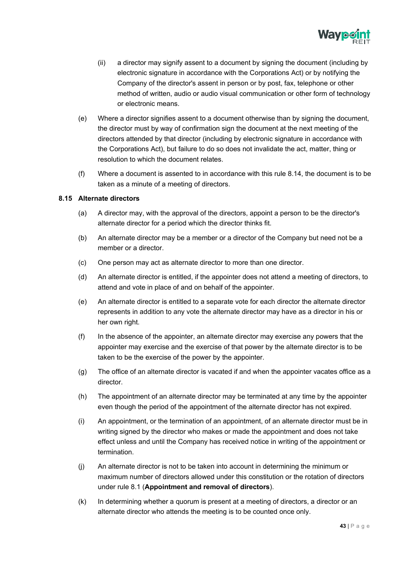

- (ii) a director may signify assent to a document by signing the document (including by electronic signature in accordance with the Corporations Act) or by notifying the Company of the director's assent in person or by post, fax, telephone or other method of written, audio or audio visual communication or other form of technology or electronic means.
- (e) Where a director signifies assent to a document otherwise than by signing the document, the director must by way of confirmation sign the document at the next meeting of the directors attended by that director (including by electronic signature in accordance with the Corporations Act), but failure to do so does not invalidate the act, matter, thing or resolution to which the document relates.
- (f) Where a document is assented to in accordance with this rule 8.14, the document is to be taken as a minute of a meeting of directors.

#### <span id="page-44-0"></span>**8.15 Alternate directors**

- (a) A director may, with the approval of the directors, appoint a person to be the director's alternate director for a period which the director thinks fit.
- (b) An alternate director may be a member or a director of the Company but need not be a member or a director
- (c) One person may act as alternate director to more than one director.
- (d) An alternate director is entitled, if the appointer does not attend a meeting of directors, to attend and vote in place of and on behalf of the appointer.
- (e) An alternate director is entitled to a separate vote for each director the alternate director represents in addition to any vote the alternate director may have as a director in his or her own right.
- (f) In the absence of the appointer, an alternate director may exercise any powers that the appointer may exercise and the exercise of that power by the alternate director is to be taken to be the exercise of the power by the appointer.
- (g) The office of an alternate director is vacated if and when the appointer vacates office as a director.
- (h) The appointment of an alternate director may be terminated at any time by the appointer even though the period of the appointment of the alternate director has not expired.
- (i) An appointment, or the termination of an appointment, of an alternate director must be in writing signed by the director who makes or made the appointment and does not take effect unless and until the Company has received notice in writing of the appointment or termination.
- (j) An alternate director is not to be taken into account in determining the minimum or maximum number of directors allowed under this constitution or the rotation of directors under rule 8.1 (**Appointment and removal of directors**).
- (k) In determining whether a quorum is present at a meeting of directors, a director or an alternate director who attends the meeting is to be counted once only.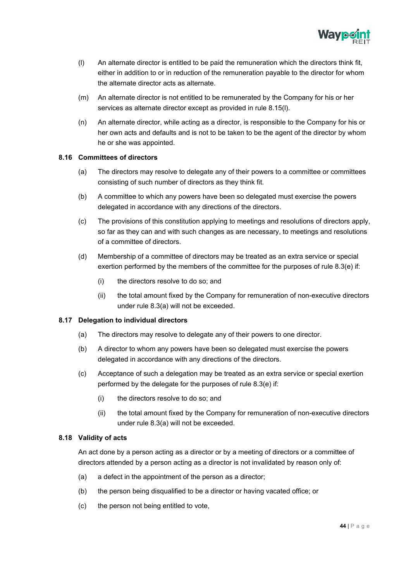

- (l) An alternate director is entitled to be paid the remuneration which the directors think fit, either in addition to or in reduction of the remuneration payable to the director for whom the alternate director acts as alternate.
- (m) An alternate director is not entitled to be remunerated by the Company for his or her services as alternate director except as provided in rule 8.15(l).
- (n) An alternate director, while acting as a director, is responsible to the Company for his or her own acts and defaults and is not to be taken to be the agent of the director by whom he or she was appointed.

#### <span id="page-45-0"></span>**8.16 Committees of directors**

- (a) The directors may resolve to delegate any of their powers to a committee or committees consisting of such number of directors as they think fit.
- (b) A committee to which any powers have been so delegated must exercise the powers delegated in accordance with any directions of the directors.
- (c) The provisions of this constitution applying to meetings and resolutions of directors apply, so far as they can and with such changes as are necessary, to meetings and resolutions of a committee of directors.
- (d) Membership of a committee of directors may be treated as an extra service or special exertion performed by the members of the committee for the purposes of rule 8.3(e) if:
	- (i) the directors resolve to do so; and
	- (ii) the total amount fixed by the Company for remuneration of non-executive directors under rule 8.3(a) will not be exceeded.

#### <span id="page-45-1"></span>**8.17 Delegation to individual directors**

- (a) The directors may resolve to delegate any of their powers to one director.
- (b) A director to whom any powers have been so delegated must exercise the powers delegated in accordance with any directions of the directors.
- (c) Acceptance of such a delegation may be treated as an extra service or special exertion performed by the delegate for the purposes of rule 8.3(e) if:
	- (i) the directors resolve to do so; and
	- (ii) the total amount fixed by the Company for remuneration of non-executive directors under rule 8.3(a) will not be exceeded.

#### <span id="page-45-2"></span>**8.18 Validity of acts**

An act done by a person acting as a director or by a meeting of directors or a committee of directors attended by a person acting as a director is not invalidated by reason only of:

- (a) a defect in the appointment of the person as a director;
- (b) the person being disqualified to be a director or having vacated office; or
- (c) the person not being entitled to vote,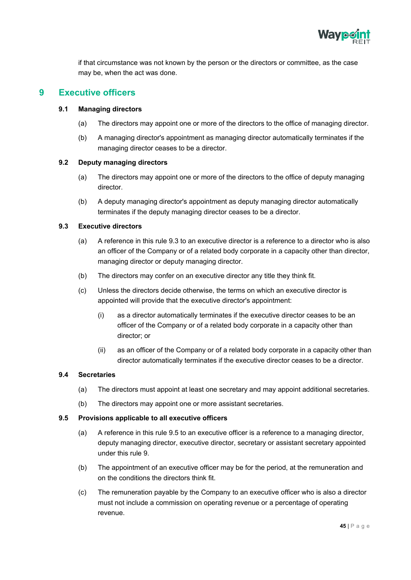

if that circumstance was not known by the person or the directors or committee, as the case may be, when the act was done.

# <span id="page-46-1"></span><span id="page-46-0"></span>**9 Executive officers**

#### **9.1 Managing directors**

- (a) The directors may appoint one or more of the directors to the office of managing director.
- (b) A managing director's appointment as managing director automatically terminates if the managing director ceases to be a director.

#### <span id="page-46-2"></span>**9.2 Deputy managing directors**

- (a) The directors may appoint one or more of the directors to the office of deputy managing director.
- (b) A deputy managing director's appointment as deputy managing director automatically terminates if the deputy managing director ceases to be a director.

#### <span id="page-46-3"></span>**9.3 Executive directors**

- (a) A reference in this rule 9.3 to an executive director is a reference to a director who is also an officer of the Company or of a related body corporate in a capacity other than director, managing director or deputy managing director.
- (b) The directors may confer on an executive director any title they think fit.
- (c) Unless the directors decide otherwise, the terms on which an executive director is appointed will provide that the executive director's appointment:
	- (i) as a director automatically terminates if the executive director ceases to be an officer of the Company or of a related body corporate in a capacity other than director; or
	- (ii) as an officer of the Company or of a related body corporate in a capacity other than director automatically terminates if the executive director ceases to be a director.

#### <span id="page-46-4"></span>**9.4 Secretaries**

- (a) The directors must appoint at least one secretary and may appoint additional secretaries.
- (b) The directors may appoint one or more assistant secretaries.

#### <span id="page-46-5"></span>**9.5 Provisions applicable to all executive officers**

- (a) A reference in this rule 9.5 to an executive officer is a reference to a managing director, deputy managing director, executive director, secretary or assistant secretary appointed under this rule 9.
- (b) The appointment of an executive officer may be for the period, at the remuneration and on the conditions the directors think fit.
- (c) The remuneration payable by the Company to an executive officer who is also a director must not include a commission on operating revenue or a percentage of operating revenue.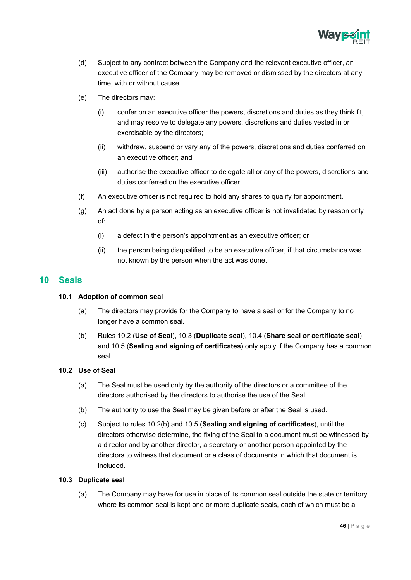

- (d) Subject to any contract between the Company and the relevant executive officer, an executive officer of the Company may be removed or dismissed by the directors at any time, with or without cause.
- (e) The directors may:
	- (i) confer on an executive officer the powers, discretions and duties as they think fit, and may resolve to delegate any powers, discretions and duties vested in or exercisable by the directors;
	- (ii) withdraw, suspend or vary any of the powers, discretions and duties conferred on an executive officer; and
	- (iii) authorise the executive officer to delegate all or any of the powers, discretions and duties conferred on the executive officer.
- (f) An executive officer is not required to hold any shares to qualify for appointment.
- (g) An act done by a person acting as an executive officer is not invalidated by reason only of:
	- (i) a defect in the person's appointment as an executive officer; or
	- (ii) the person being disqualified to be an executive officer, if that circumstance was not known by the person when the act was done.

## <span id="page-47-1"></span><span id="page-47-0"></span>**10 Seals**

#### **10.1 Adoption of common seal**

- (a) The directors may provide for the Company to have a seal or for the Company to no longer have a common seal.
- (b) Rules 10.2 (**Use of Seal**), 10.3 (**Duplicate seal**), 10.4 (**Share seal or certificate seal**) and 10.5 (**Sealing and signing of certificates**) only apply if the Company has a common seal.

## <span id="page-47-2"></span>**10.2 Use of Seal**

- (a) The Seal must be used only by the authority of the directors or a committee of the directors authorised by the directors to authorise the use of the Seal.
- (b) The authority to use the Seal may be given before or after the Seal is used.
- (c) Subject to rules 10.2(b) and 10.5 (**Sealing and signing of certificates**), until the directors otherwise determine, the fixing of the Seal to a document must be witnessed by a director and by another director, a secretary or another person appointed by the directors to witness that document or a class of documents in which that document is included.

#### <span id="page-47-3"></span>**10.3 Duplicate seal**

(a) The Company may have for use in place of its common seal outside the state or territory where its common seal is kept one or more duplicate seals, each of which must be a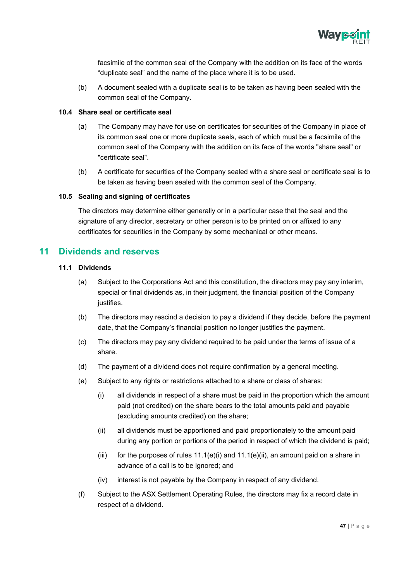

facsimile of the common seal of the Company with the addition on its face of the words "duplicate seal" and the name of the place where it is to be used.

(b) A document sealed with a duplicate seal is to be taken as having been sealed with the common seal of the Company.

#### <span id="page-48-0"></span>**10.4 Share seal or certificate seal**

- (a) The Company may have for use on certificates for securities of the Company in place of its common seal one or more duplicate seals, each of which must be a facsimile of the common seal of the Company with the addition on its face of the words "share seal" or "certificate seal".
- (b) A certificate for securities of the Company sealed with a share seal or certificate seal is to be taken as having been sealed with the common seal of the Company.

#### <span id="page-48-1"></span>**10.5 Sealing and signing of certificates**

The directors may determine either generally or in a particular case that the seal and the signature of any director, secretary or other person is to be printed on or affixed to any certificates for securities in the Company by some mechanical or other means.

## <span id="page-48-3"></span><span id="page-48-2"></span>**11 Dividends and reserves**

#### **11.1 Dividends**

- (a) Subject to the Corporations Act and this constitution, the directors may pay any interim, special or final dividends as, in their judgment, the financial position of the Company justifies.
- (b) The directors may rescind a decision to pay a dividend if they decide, before the payment date, that the Company's financial position no longer justifies the payment.
- (c) The directors may pay any dividend required to be paid under the terms of issue of a share.
- (d) The payment of a dividend does not require confirmation by a general meeting.
- (e) Subject to any rights or restrictions attached to a share or class of shares:
	- (i) all dividends in respect of a share must be paid in the proportion which the amount paid (not credited) on the share bears to the total amounts paid and payable (excluding amounts credited) on the share;
	- (ii) all dividends must be apportioned and paid proportionately to the amount paid during any portion or portions of the period in respect of which the dividend is paid;
	- (iii) for the purposes of rules  $11.1(e)(i)$  and  $11.1(e)(ii)$ , an amount paid on a share in advance of a call is to be ignored; and
	- (iv) interest is not payable by the Company in respect of any dividend.
- (f) Subject to the ASX Settlement Operating Rules, the directors may fix a record date in respect of a dividend.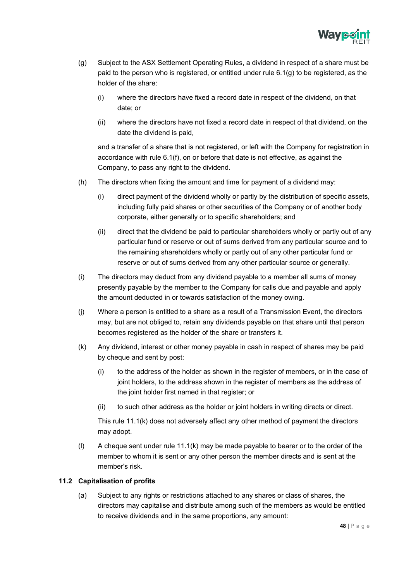

- (g) Subject to the ASX Settlement Operating Rules, a dividend in respect of a share must be paid to the person who is registered, or entitled under rule  $6.1(q)$  to be registered, as the holder of the share:
	- (i) where the directors have fixed a record date in respect of the dividend, on that date; or
	- (ii) where the directors have not fixed a record date in respect of that dividend, on the date the dividend is paid,

and a transfer of a share that is not registered, or left with the Company for registration in accordance with rule 6.1(f), on or before that date is not effective, as against the Company, to pass any right to the dividend.

- (h) The directors when fixing the amount and time for payment of a dividend may:
	- (i) direct payment of the dividend wholly or partly by the distribution of specific assets, including fully paid shares or other securities of the Company or of another body corporate, either generally or to specific shareholders; and
	- (ii) direct that the dividend be paid to particular shareholders wholly or partly out of any particular fund or reserve or out of sums derived from any particular source and to the remaining shareholders wholly or partly out of any other particular fund or reserve or out of sums derived from any other particular source or generally.
- (i) The directors may deduct from any dividend payable to a member all sums of money presently payable by the member to the Company for calls due and payable and apply the amount deducted in or towards satisfaction of the money owing.
- (j) Where a person is entitled to a share as a result of a Transmission Event, the directors may, but are not obliged to, retain any dividends payable on that share until that person becomes registered as the holder of the share or transfers it.
- (k) Any dividend, interest or other money payable in cash in respect of shares may be paid by cheque and sent by post:
	- (i) to the address of the holder as shown in the register of members, or in the case of joint holders, to the address shown in the register of members as the address of the joint holder first named in that register; or
	- (ii) to such other address as the holder or joint holders in writing directs or direct.

This rule 11.1(k) does not adversely affect any other method of payment the directors may adopt.

(l) A cheque sent under rule 11.1(k) may be made payable to bearer or to the order of the member to whom it is sent or any other person the member directs and is sent at the member's risk.

#### <span id="page-49-0"></span>**11.2 Capitalisation of profits**

(a) Subject to any rights or restrictions attached to any shares or class of shares, the directors may capitalise and distribute among such of the members as would be entitled to receive dividends and in the same proportions, any amount: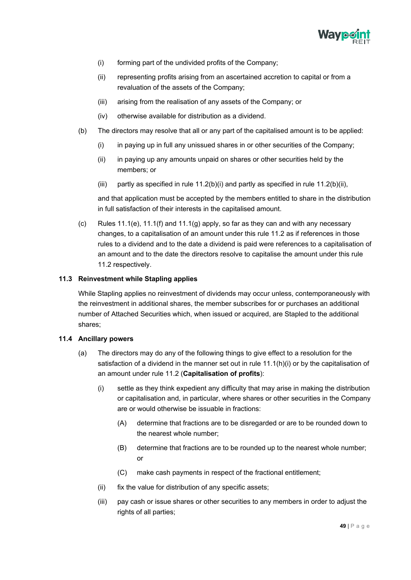

- (i) forming part of the undivided profits of the Company;
- (ii) representing profits arising from an ascertained accretion to capital or from a revaluation of the assets of the Company;
- (iii) arising from the realisation of any assets of the Company; or
- (iv) otherwise available for distribution as a dividend.
- (b) The directors may resolve that all or any part of the capitalised amount is to be applied:
	- (i) in paying up in full any unissued shares in or other securities of the Company;
	- (ii) in paying up any amounts unpaid on shares or other securities held by the members; or
	- (iii) partly as specified in rule  $11.2(b)(i)$  and partly as specified in rule  $11.2(b)(ii)$ ,

and that application must be accepted by the members entitled to share in the distribution in full satisfaction of their interests in the capitalised amount.

(c) Rules  $11.1(e)$ ,  $11.1(f)$  and  $11.1(g)$  apply, so far as they can and with any necessary changes, to a capitalisation of an amount under this rule 11.2 as if references in those rules to a dividend and to the date a dividend is paid were references to a capitalisation of an amount and to the date the directors resolve to capitalise the amount under this rule 11.2 respectively.

#### <span id="page-50-0"></span>**11.3 Reinvestment while Stapling applies**

While Stapling applies no reinvestment of dividends may occur unless, contemporaneously with the reinvestment in additional shares, the member subscribes for or purchases an additional number of Attached Securities which, when issued or acquired, are Stapled to the additional shares;

#### <span id="page-50-1"></span>**11.4 Ancillary powers**

- (a) The directors may do any of the following things to give effect to a resolution for the satisfaction of a dividend in the manner set out in rule  $11.1(h)(i)$  or by the capitalisation of an amount under rule 11.2 (**Capitalisation of profits**):
	- (i) settle as they think expedient any difficulty that may arise in making the distribution or capitalisation and, in particular, where shares or other securities in the Company are or would otherwise be issuable in fractions:
		- (A) determine that fractions are to be disregarded or are to be rounded down to the nearest whole number;
		- (B) determine that fractions are to be rounded up to the nearest whole number; or
		- (C) make cash payments in respect of the fractional entitlement;
	- (ii) fix the value for distribution of any specific assets;
	- (iii) pay cash or issue shares or other securities to any members in order to adjust the rights of all parties;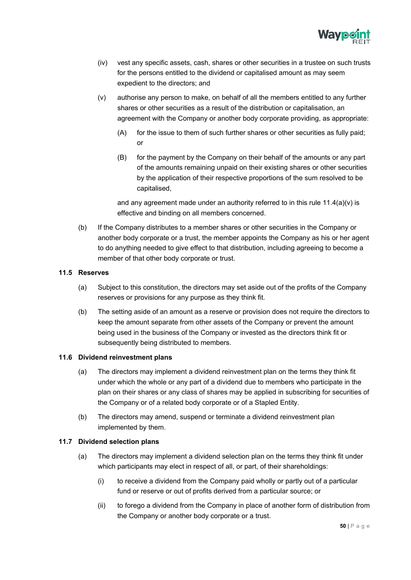

- (iv) vest any specific assets, cash, shares or other securities in a trustee on such trusts for the persons entitled to the dividend or capitalised amount as may seem expedient to the directors; and
- (v) authorise any person to make, on behalf of all the members entitled to any further shares or other securities as a result of the distribution or capitalisation, an agreement with the Company or another body corporate providing, as appropriate:
	- (A) for the issue to them of such further shares or other securities as fully paid; or
	- (B) for the payment by the Company on their behalf of the amounts or any part of the amounts remaining unpaid on their existing shares or other securities by the application of their respective proportions of the sum resolved to be capitalised,

and any agreement made under an authority referred to in this rule  $11.4(a)(v)$  is effective and binding on all members concerned.

(b) If the Company distributes to a member shares or other securities in the Company or another body corporate or a trust, the member appoints the Company as his or her agent to do anything needed to give effect to that distribution, including agreeing to become a member of that other body corporate or trust.

#### <span id="page-51-0"></span>**11.5 Reserves**

- (a) Subject to this constitution, the directors may set aside out of the profits of the Company reserves or provisions for any purpose as they think fit.
- (b) The setting aside of an amount as a reserve or provision does not require the directors to keep the amount separate from other assets of the Company or prevent the amount being used in the business of the Company or invested as the directors think fit or subsequently being distributed to members.

#### <span id="page-51-1"></span>**11.6 Dividend reinvestment plans**

- (a) The directors may implement a dividend reinvestment plan on the terms they think fit under which the whole or any part of a dividend due to members who participate in the plan on their shares or any class of shares may be applied in subscribing for securities of the Company or of a related body corporate or of a Stapled Entity.
- (b) The directors may amend, suspend or terminate a dividend reinvestment plan implemented by them.

#### <span id="page-51-2"></span>**11.7 Dividend selection plans**

- (a) The directors may implement a dividend selection plan on the terms they think fit under which participants may elect in respect of all, or part, of their shareholdings:
	- (i) to receive a dividend from the Company paid wholly or partly out of a particular fund or reserve or out of profits derived from a particular source; or
	- (ii) to forego a dividend from the Company in place of another form of distribution from the Company or another body corporate or a trust.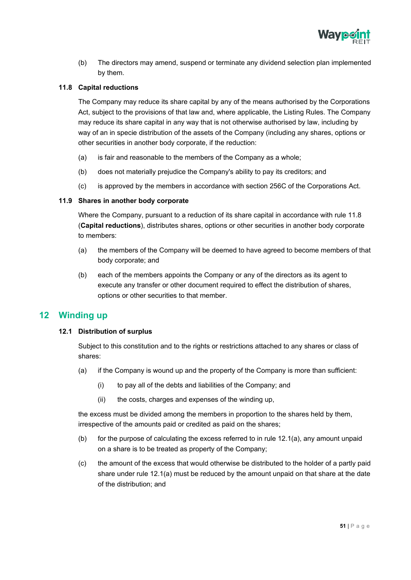

(b) The directors may amend, suspend or terminate any dividend selection plan implemented by them.

#### <span id="page-52-0"></span>**11.8 Capital reductions**

The Company may reduce its share capital by any of the means authorised by the Corporations Act, subject to the provisions of that law and, where applicable, the Listing Rules. The Company may reduce its share capital in any way that is not otherwise authorised by law, including by way of an in specie distribution of the assets of the Company (including any shares, options or other securities in another body corporate, if the reduction:

- (a) is fair and reasonable to the members of the Company as a whole;
- (b) does not materially prejudice the Company's ability to pay its creditors; and
- (c) is approved by the members in accordance with section 256C of the Corporations Act.

#### <span id="page-52-1"></span>**11.9 Shares in another body corporate**

Where the Company, pursuant to a reduction of its share capital in accordance with rule 11.8 (**Capital reductions**), distributes shares, options or other securities in another body corporate to members:

- (a) the members of the Company will be deemed to have agreed to become members of that body corporate; and
- (b) each of the members appoints the Company or any of the directors as its agent to execute any transfer or other document required to effect the distribution of shares, options or other securities to that member.

## <span id="page-52-3"></span><span id="page-52-2"></span>**12 Winding up**

#### **12.1 Distribution of surplus**

Subject to this constitution and to the rights or restrictions attached to any shares or class of shares:

- (a) if the Company is wound up and the property of the Company is more than sufficient:
	- (i) to pay all of the debts and liabilities of the Company; and
	- (ii) the costs, charges and expenses of the winding up,

the excess must be divided among the members in proportion to the shares held by them, irrespective of the amounts paid or credited as paid on the shares;

- (b) for the purpose of calculating the excess referred to in rule 12.1(a), any amount unpaid on a share is to be treated as property of the Company;
- (c) the amount of the excess that would otherwise be distributed to the holder of a partly paid share under rule 12.1(a) must be reduced by the amount unpaid on that share at the date of the distribution; and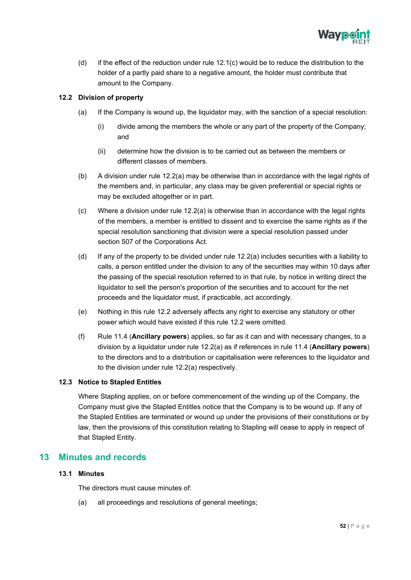

(d) if the effect of the reduction under rule  $12.1(c)$  would be to reduce the distribution to the holder of a partly paid share to a negative amount, the holder must contribute that amount to the Company.

#### <span id="page-53-0"></span>**12.2 Division of property**

- (a) If the Company is wound up, the liquidator may, with the sanction of a special resolution:
	- (i) divide among the members the whole or any part of the property of the Company; and
	- (ii) determine how the division is to be carried out as between the members or different classes of members.
- (b) A division under rule 12.2(a) may be otherwise than in accordance with the legal rights of the members and, in particular, any class may be given preferential or special rights or may be excluded altogether or in part.
- $(c)$  Where a division under rule 12.2(a) is otherwise than in accordance with the legal rights of the members, a member is entitled to dissent and to exercise the same rights as if the special resolution sanctioning that division were a special resolution passed under section 507 of the Corporations Act.
- (d) If any of the property to be divided under rule 12.2(a) includes securities with a liability to calls, a person entitled under the division to any of the securities may within 10 days after the passing of the special resolution referred to in that rule, by notice in writing direct the liquidator to sell the person's proportion of the securities and to account for the net proceeds and the liquidator must, if practicable, act accordingly.
- (e) Nothing in this rule 12.2 adversely affects any right to exercise any statutory or other power which would have existed if this rule 12.2 were omitted.
- (f) Rule 11.4 (**Ancillary powers**) applies, so far as it can and with necessary changes, to a division by a liquidator under rule 12.2(a) as if references in rule 11.4 (**Ancillary powers**) to the directors and to a distribution or capitalisation were references to the liquidator and to the division under rule 12.2(a) respectively.

#### <span id="page-53-1"></span>**12.3 Notice to Stapled Entitles**

Where Stapling applies, on or before commencement of the winding up of the Company, the Company must give the Stapled Entitles notice that the Company is to be wound up. If any of the Stapled Entities are terminated or wound up under the provisions of their constitutions or by law, then the provisions of this constitution relating to Stapling will cease to apply in respect of that Stapled Entity.

## <span id="page-53-3"></span><span id="page-53-2"></span>**13 Minutes and records**

#### **13.1 Minutes**

The directors must cause minutes of:

(a) all proceedings and resolutions of general meetings;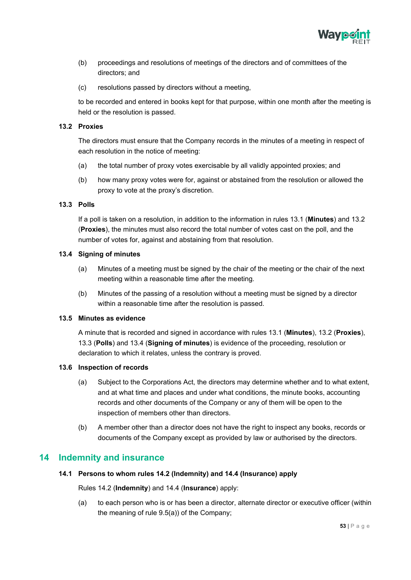

- (b) proceedings and resolutions of meetings of the directors and of committees of the directors; and
- (c) resolutions passed by directors without a meeting,

to be recorded and entered in books kept for that purpose, within one month after the meeting is held or the resolution is passed.

#### <span id="page-54-0"></span>**13.2 Proxies**

The directors must ensure that the Company records in the minutes of a meeting in respect of each resolution in the notice of meeting:

- (a) the total number of proxy votes exercisable by all validly appointed proxies; and
- (b) how many proxy votes were for, against or abstained from the resolution or allowed the proxy to vote at the proxy's discretion.

#### <span id="page-54-1"></span>**13.3 Polls**

If a poll is taken on a resolution, in addition to the information in rules 13.1 (**Minutes**) and 13.2 (**Proxies**), the minutes must also record the total number of votes cast on the poll, and the number of votes for, against and abstaining from that resolution.

#### <span id="page-54-2"></span>**13.4 Signing of minutes**

- (a) Minutes of a meeting must be signed by the chair of the meeting or the chair of the next meeting within a reasonable time after the meeting.
- (b) Minutes of the passing of a resolution without a meeting must be signed by a director within a reasonable time after the resolution is passed.

#### <span id="page-54-3"></span>**13.5 Minutes as evidence**

A minute that is recorded and signed in accordance with rules 13.1 (**Minutes**), 13.2 (**Proxies**), 13.3 (**Polls**) and 13.4 (**Signing of minutes**) is evidence of the proceeding, resolution or declaration to which it relates, unless the contrary is proved.

#### <span id="page-54-4"></span>**13.6 Inspection of records**

- (a) Subject to the Corporations Act, the directors may determine whether and to what extent, and at what time and places and under what conditions, the minute books, accounting records and other documents of the Company or any of them will be open to the inspection of members other than directors.
- (b) A member other than a director does not have the right to inspect any books, records or documents of the Company except as provided by law or authorised by the directors.

## <span id="page-54-6"></span><span id="page-54-5"></span>**14 Indemnity and insurance**

#### **14.1 Persons to whom rules 14.2 (Indemnity) and 14.4 (Insurance) apply**

Rules 14.2 (**Indemnity**) and 14.4 (**Insurance**) apply:

(a) to each person who is or has been a director, alternate director or executive officer (within the meaning of rule 9.5(a)) of the Company;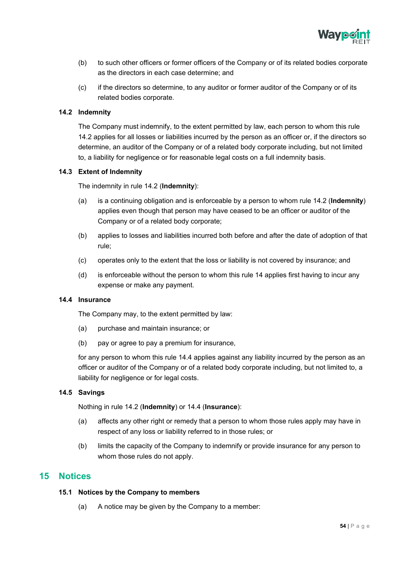

- (b) to such other officers or former officers of the Company or of its related bodies corporate as the directors in each case determine; and
- (c) if the directors so determine, to any auditor or former auditor of the Company or of its related bodies corporate.

#### <span id="page-55-0"></span>**14.2 Indemnity**

The Company must indemnify, to the extent permitted by law, each person to whom this rule 14.2 applies for all losses or liabilities incurred by the person as an officer or, if the directors so determine, an auditor of the Company or of a related body corporate including, but not limited to, a liability for negligence or for reasonable legal costs on a full indemnity basis.

#### <span id="page-55-1"></span>**14.3 Extent of Indemnity**

The indemnity in rule 14.2 (**Indemnity**):

- (a) is a continuing obligation and is enforceable by a person to whom rule 14.2 (**Indemnity**) applies even though that person may have ceased to be an officer or auditor of the Company or of a related body corporate;
- (b) applies to losses and liabilities incurred both before and after the date of adoption of that rule;
- (c) operates only to the extent that the loss or liability is not covered by insurance; and
- (d) is enforceable without the person to whom this rule 14 applies first having to incur any expense or make any payment.

#### <span id="page-55-2"></span>**14.4 Insurance**

The Company may, to the extent permitted by law:

- (a) purchase and maintain insurance; or
- (b) pay or agree to pay a premium for insurance,

for any person to whom this rule 14.4 applies against any liability incurred by the person as an officer or auditor of the Company or of a related body corporate including, but not limited to, a liability for negligence or for legal costs.

#### <span id="page-55-3"></span>**14.5 Savings**

Nothing in rule 14.2 (**Indemnity**) or 14.4 (**Insurance**):

- (a) affects any other right or remedy that a person to whom those rules apply may have in respect of any loss or liability referred to in those rules; or
- (b) limits the capacity of the Company to indemnify or provide insurance for any person to whom those rules do not apply.

## <span id="page-55-5"></span><span id="page-55-4"></span>**15 Notices**

#### **15.1 Notices by the Company to members**

(a) A notice may be given by the Company to a member: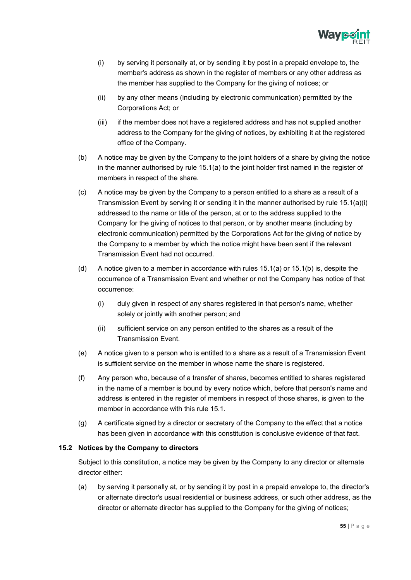

- (i) by serving it personally at, or by sending it by post in a prepaid envelope to, the member's address as shown in the register of members or any other address as the member has supplied to the Company for the giving of notices; or
- (ii) by any other means (including by electronic communication) permitted by the Corporations Act; or
- (iii) if the member does not have a registered address and has not supplied another address to the Company for the giving of notices, by exhibiting it at the registered office of the Company.
- (b) A notice may be given by the Company to the joint holders of a share by giving the notice in the manner authorised by rule 15.1(a) to the joint holder first named in the register of members in respect of the share.
- (c) A notice may be given by the Company to a person entitled to a share as a result of a Transmission Event by serving it or sending it in the manner authorised by rule 15.1(a)(i) addressed to the name or title of the person, at or to the address supplied to the Company for the giving of notices to that person, or by another means (including by electronic communication) permitted by the Corporations Act for the giving of notice by the Company to a member by which the notice might have been sent if the relevant Transmission Event had not occurred.
- (d) A notice given to a member in accordance with rules 15.1(a) or 15.1(b) is, despite the occurrence of a Transmission Event and whether or not the Company has notice of that occurrence:
	- (i) duly given in respect of any shares registered in that person's name, whether solely or jointly with another person; and
	- (ii) sufficient service on any person entitled to the shares as a result of the Transmission Event.
- (e) A notice given to a person who is entitled to a share as a result of a Transmission Event is sufficient service on the member in whose name the share is registered.
- (f) Any person who, because of a transfer of shares, becomes entitled to shares registered in the name of a member is bound by every notice which, before that person's name and address is entered in the register of members in respect of those shares, is given to the member in accordance with this rule 15.1.
- (g) A certificate signed by a director or secretary of the Company to the effect that a notice has been given in accordance with this constitution is conclusive evidence of that fact.

#### <span id="page-56-0"></span>**15.2 Notices by the Company to directors**

Subject to this constitution, a notice may be given by the Company to any director or alternate director either:

(a) by serving it personally at, or by sending it by post in a prepaid envelope to, the director's or alternate director's usual residential or business address, or such other address, as the director or alternate director has supplied to the Company for the giving of notices;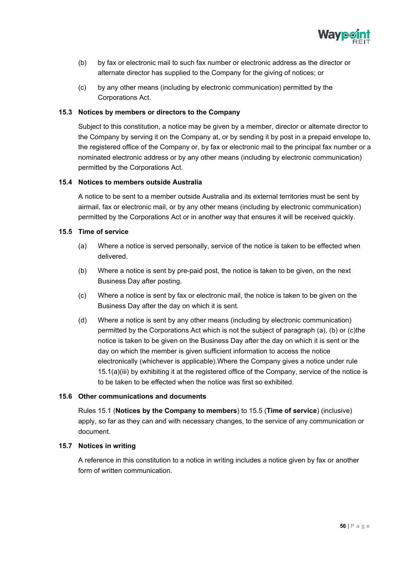

- (b) by fax or electronic mail to such fax number or electronic address as the director or alternate director has supplied to the Company for the giving of notices; or
- (c) by any other means (including by electronic communication) permitted by the Corporations Act.

#### <span id="page-57-0"></span>**15.3 Notices by members or directors to the Company**

Subject to this constitution, a notice may be given by a member, director or alternate director to the Company by serving it on the Company at, or by sending it by post in a prepaid envelope to, the registered office of the Company or, by fax or electronic mail to the principal fax number or a nominated electronic address or by any other means (including by electronic communication) permitted by the Corporations Act.

#### <span id="page-57-1"></span>**15.4 Notices to members outside Australia**

A notice to be sent to a member outside Australia and its external territories must be sent by airmail, fax or electronic mail, or by any other means (including by electronic communication) permitted by the Corporations Act or in another way that ensures it will be received quickly.

#### <span id="page-57-2"></span>**15.5 Time of service**

- (a) Where a notice is served personally, service of the notice is taken to be effected when delivered.
- (b) Where a notice is sent by pre-paid post, the notice is taken to be given, on the next Business Day after posting.
- (c) Where a notice is sent by fax or electronic mail, the notice is taken to be given on the Business Day after the day on which it is sent.
- (d) Where a notice is sent by any other means (including by electronic communication) permitted by the Corporations Act which is not the subject of paragraph (a), (b) or (c)the notice is taken to be given on the Business Day after the day on which it is sent or the day on which the member is given sufficient information to access the notice electronically (whichever is applicable).Where the Company gives a notice under rule 15.1(a)(iii) by exhibiting it at the registered office of the Company, service of the notice is to be taken to be effected when the notice was first so exhibited.

#### <span id="page-57-3"></span>**15.6 Other communications and documents**

Rules 15.1 (**Notices by the Company to members**) to 15.5 (**Time of service**) (inclusive) apply, so far as they can and with necessary changes, to the service of any communication or document.

## <span id="page-57-4"></span>**15.7 Notices in writing**

A reference in this constitution to a notice in writing includes a notice given by fax or another form of written communication.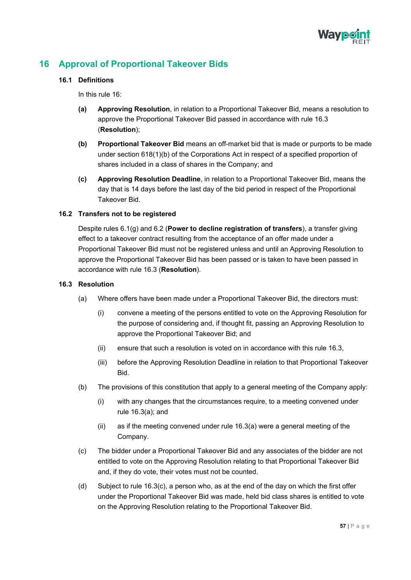

# <span id="page-58-1"></span><span id="page-58-0"></span>**16 Approval of Proportional Takeover Bids**

#### **16.1 Definitions**

In this rule 16:

- **(a) Approving Resolution**, in relation to a Proportional Takeover Bid, means a resolution to approve the Proportional Takeover Bid passed in accordance with rule 16.3 (**Resolution**);
- **(b) Proportional Takeover Bid** means an off-market bid that is made or purports to be made under section 618(1)(b) of the Corporations Act in respect of a specified proportion of shares included in a class of shares in the Company; and
- **(c) Approving Resolution Deadline**, in relation to a Proportional Takeover Bid, means the day that is 14 days before the last day of the bid period in respect of the Proportional Takeover Bid.

#### <span id="page-58-2"></span>**16.2 Transfers not to be registered**

Despite rules 6.1(g) and 6.2 (**Power to decline registration of transfers**), a transfer giving effect to a takeover contract resulting from the acceptance of an offer made under a Proportional Takeover Bid must not be registered unless and until an Approving Resolution to approve the Proportional Takeover Bid has been passed or is taken to have been passed in accordance with rule 16.3 (**Resolution**).

#### <span id="page-58-3"></span>**16.3 Resolution**

- (a) Where offers have been made under a Proportional Takeover Bid, the directors must:
	- (i) convene a meeting of the persons entitled to vote on the Approving Resolution for the purpose of considering and, if thought fit, passing an Approving Resolution to approve the Proportional Takeover Bid; and
	- (ii) ensure that such a resolution is voted on in accordance with this rule 16.3,
	- (iii) before the Approving Resolution Deadline in relation to that Proportional Takeover Bid.
- (b) The provisions of this constitution that apply to a general meeting of the Company apply:
	- (i) with any changes that the circumstances require, to a meeting convened under rule 16.3(a); and
	- (ii) as if the meeting convened under rule 16.3(a) were a general meeting of the Company.
- (c) The bidder under a Proportional Takeover Bid and any associates of the bidder are not entitled to vote on the Approving Resolution relating to that Proportional Takeover Bid and, if they do vote, their votes must not be counted.
- (d) Subject to rule 16.3(c), a person who, as at the end of the day on which the first offer under the Proportional Takeover Bid was made, held bid class shares is entitled to vote on the Approving Resolution relating to the Proportional Takeover Bid.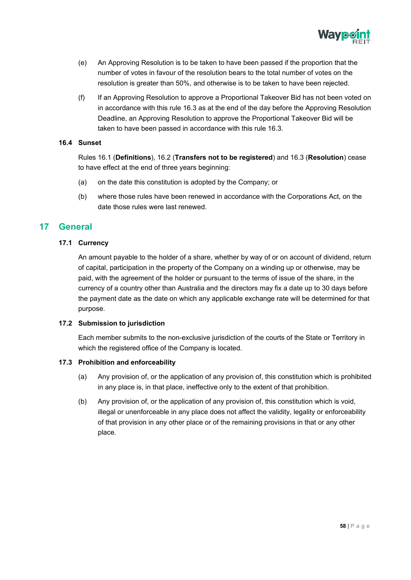

- (e) An Approving Resolution is to be taken to have been passed if the proportion that the number of votes in favour of the resolution bears to the total number of votes on the resolution is greater than 50%, and otherwise is to be taken to have been rejected.
- (f) If an Approving Resolution to approve a Proportional Takeover Bid has not been voted on in accordance with this rule 16.3 as at the end of the day before the Approving Resolution Deadline, an Approving Resolution to approve the Proportional Takeover Bid will be taken to have been passed in accordance with this rule 16.3.

#### <span id="page-59-0"></span>**16.4 Sunset**

Rules 16.1 (**Definitions**), 16.2 (**Transfers not to be registered**) and 16.3 (**Resolution**) cease to have effect at the end of three years beginning:

- (a) on the date this constitution is adopted by the Company; or
- (b) where those rules have been renewed in accordance with the Corporations Act, on the date those rules were last renewed.

## <span id="page-59-2"></span><span id="page-59-1"></span>**17 General**

#### **17.1 Currency**

An amount payable to the holder of a share, whether by way of or on account of dividend, return of capital, participation in the property of the Company on a winding up or otherwise, may be paid, with the agreement of the holder or pursuant to the terms of issue of the share, in the currency of a country other than Australia and the directors may fix a date up to 30 days before the payment date as the date on which any applicable exchange rate will be determined for that purpose.

#### <span id="page-59-3"></span>**17.2 Submission to jurisdiction**

Each member submits to the non-exclusive jurisdiction of the courts of the State or Territory in which the registered office of the Company is located.

#### <span id="page-59-4"></span>**17.3 Prohibition and enforceability**

- (a) Any provision of, or the application of any provision of, this constitution which is prohibited in any place is, in that place, ineffective only to the extent of that prohibition.
- (b) Any provision of, or the application of any provision of, this constitution which is void, illegal or unenforceable in any place does not affect the validity, legality or enforceability of that provision in any other place or of the remaining provisions in that or any other place.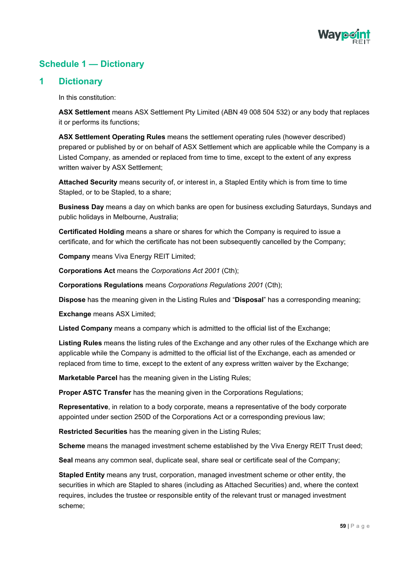

# <span id="page-60-0"></span>**Schedule 1 — Dictionary**

## **1 Dictionary**

In this constitution:

**ASX Settlement** means ASX Settlement Pty Limited (ABN 49 008 504 532) or any body that replaces it or performs its functions;

**ASX Settlement Operating Rules** means the settlement operating rules (however described) prepared or published by or on behalf of ASX Settlement which are applicable while the Company is a Listed Company, as amended or replaced from time to time, except to the extent of any express written waiver by ASX Settlement;

**Attached Security** means security of, or interest in, a Stapled Entity which is from time to time Stapled, or to be Stapled, to a share;

**Business Day** means a day on which banks are open for business excluding Saturdays, Sundays and public holidays in Melbourne, Australia;

**Certificated Holding** means a share or shares for which the Company is required to issue a certificate, and for which the certificate has not been subsequently cancelled by the Company;

**Company** means Viva Energy REIT Limited;

**Corporations Act** means the *Corporations Act 2001* (Cth);

**Corporations Regulations** means *Corporations Regulations 2001* (Cth);

**Dispose** has the meaning given in the Listing Rules and "**Disposal**" has a corresponding meaning;

**Exchange** means ASX Limited;

**Listed Company** means a company which is admitted to the official list of the Exchange;

**Listing Rules** means the listing rules of the Exchange and any other rules of the Exchange which are applicable while the Company is admitted to the official list of the Exchange, each as amended or replaced from time to time, except to the extent of any express written waiver by the Exchange;

**Marketable Parcel** has the meaning given in the Listing Rules;

**Proper ASTC Transfer** has the meaning given in the Corporations Regulations;

**Representative**, in relation to a body corporate, means a representative of the body corporate appointed under section 250D of the Corporations Act or a corresponding previous law;

**Restricted Securities** has the meaning given in the Listing Rules;

**Scheme** means the managed investment scheme established by the Viva Energy REIT Trust deed;

**Seal** means any common seal, duplicate seal, share seal or certificate seal of the Company;

**Stapled Entity** means any trust, corporation, managed investment scheme or other entity, the securities in which are Stapled to shares (including as Attached Securities) and, where the context requires, includes the trustee or responsible entity of the relevant trust or managed investment scheme;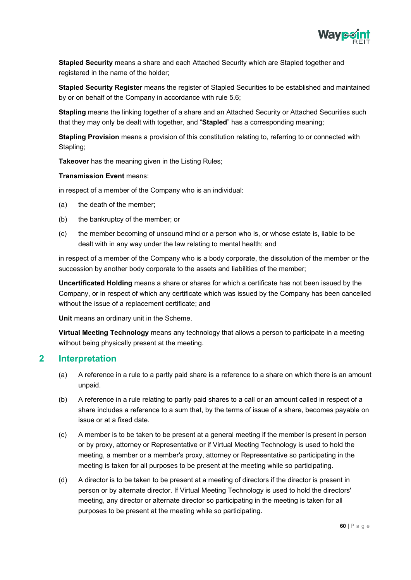

**Stapled Security** means a share and each Attached Security which are Stapled together and registered in the name of the holder;

**Stapled Security Register** means the register of Stapled Securities to be established and maintained by or on behalf of the Company in accordance with rule 5.6;

**Stapling** means the linking together of a share and an Attached Security or Attached Securities such that they may only be dealt with together, and "**Stapled**" has a corresponding meaning;

**Stapling Provision** means a provision of this constitution relating to, referring to or connected with Stapling;

**Takeover** has the meaning given in the Listing Rules;

#### **Transmission Event** means:

in respect of a member of the Company who is an individual:

- (a) the death of the member;
- (b) the bankruptcy of the member; or
- (c) the member becoming of unsound mind or a person who is, or whose estate is, liable to be dealt with in any way under the law relating to mental health; and

in respect of a member of the Company who is a body corporate, the dissolution of the member or the succession by another body corporate to the assets and liabilities of the member;

**Uncertificated Holding** means a share or shares for which a certificate has not been issued by the Company, or in respect of which any certificate which was issued by the Company has been cancelled without the issue of a replacement certificate; and

**Unit** means an ordinary unit in the Scheme.

**Virtual Meeting Technology** means any technology that allows a person to participate in a meeting without being physically present at the meeting.

## **2 Interpretation**

- (a) A reference in a rule to a partly paid share is a reference to a share on which there is an amount unpaid.
- (b) A reference in a rule relating to partly paid shares to a call or an amount called in respect of a share includes a reference to a sum that, by the terms of issue of a share, becomes payable on issue or at a fixed date.
- (c) A member is to be taken to be present at a general meeting if the member is present in person or by proxy, attorney or Representative or if Virtual Meeting Technology is used to hold the meeting, a member or a member's proxy, attorney or Representative so participating in the meeting is taken for all purposes to be present at the meeting while so participating.
- (d) A director is to be taken to be present at a meeting of directors if the director is present in person or by alternate director. If Virtual Meeting Technology is used to hold the directors' meeting, any director or alternate director so participating in the meeting is taken for all purposes to be present at the meeting while so participating.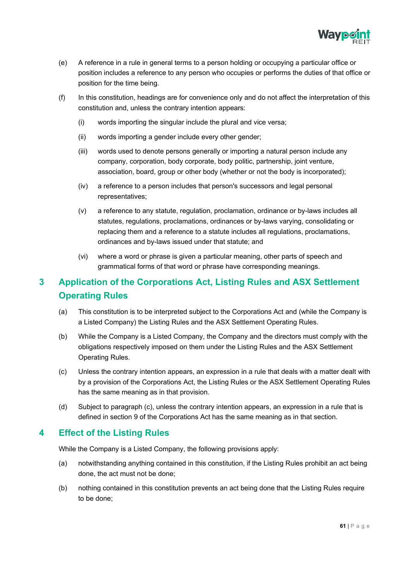

- (e) A reference in a rule in general terms to a person holding or occupying a particular office or position includes a reference to any person who occupies or performs the duties of that office or position for the time being.
- (f) In this constitution, headings are for convenience only and do not affect the interpretation of this constitution and, unless the contrary intention appears:
	- (i) words importing the singular include the plural and vice versa;
	- (ii) words importing a gender include every other gender;
	- (iii) words used to denote persons generally or importing a natural person include any company, corporation, body corporate, body politic, partnership, joint venture, association, board, group or other body (whether or not the body is incorporated);
	- (iv) a reference to a person includes that person's successors and legal personal representatives;
	- (v) a reference to any statute, regulation, proclamation, ordinance or by-laws includes all statutes, regulations, proclamations, ordinances or by-laws varying, consolidating or replacing them and a reference to a statute includes all regulations, proclamations, ordinances and by-laws issued under that statute; and
	- (vi) where a word or phrase is given a particular meaning, other parts of speech and grammatical forms of that word or phrase have corresponding meanings.

# **3 Application of the Corporations Act, Listing Rules and ASX Settlement Operating Rules**

- (a) This constitution is to be interpreted subject to the Corporations Act and (while the Company is a Listed Company) the Listing Rules and the ASX Settlement Operating Rules.
- (b) While the Company is a Listed Company, the Company and the directors must comply with the obligations respectively imposed on them under the Listing Rules and the ASX Settlement Operating Rules.
- (c) Unless the contrary intention appears, an expression in a rule that deals with a matter dealt with by a provision of the Corporations Act, the Listing Rules or the ASX Settlement Operating Rules has the same meaning as in that provision.
- (d) Subject to paragraph (c), unless the contrary intention appears, an expression in a rule that is defined in section 9 of the Corporations Act has the same meaning as in that section.

# **4 Effect of the Listing Rules**

While the Company is a Listed Company, the following provisions apply:

- (a) notwithstanding anything contained in this constitution, if the Listing Rules prohibit an act being done, the act must not be done;
- (b) nothing contained in this constitution prevents an act being done that the Listing Rules require to be done;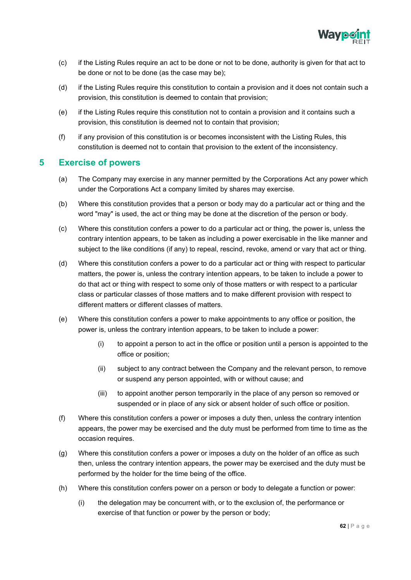

- (c) if the Listing Rules require an act to be done or not to be done, authority is given for that act to be done or not to be done (as the case may be);
- (d) if the Listing Rules require this constitution to contain a provision and it does not contain such a provision, this constitution is deemed to contain that provision;
- (e) if the Listing Rules require this constitution not to contain a provision and it contains such a provision, this constitution is deemed not to contain that provision;
- (f) if any provision of this constitution is or becomes inconsistent with the Listing Rules, this constitution is deemed not to contain that provision to the extent of the inconsistency.

# **5 Exercise of powers**

- (a) The Company may exercise in any manner permitted by the Corporations Act any power which under the Corporations Act a company limited by shares may exercise.
- (b) Where this constitution provides that a person or body may do a particular act or thing and the word "may" is used, the act or thing may be done at the discretion of the person or body.
- (c) Where this constitution confers a power to do a particular act or thing, the power is, unless the contrary intention appears, to be taken as including a power exercisable in the like manner and subject to the like conditions (if any) to repeal, rescind, revoke, amend or vary that act or thing.
- (d) Where this constitution confers a power to do a particular act or thing with respect to particular matters, the power is, unless the contrary intention appears, to be taken to include a power to do that act or thing with respect to some only of those matters or with respect to a particular class or particular classes of those matters and to make different provision with respect to different matters or different classes of matters.
- (e) Where this constitution confers a power to make appointments to any office or position, the power is, unless the contrary intention appears, to be taken to include a power:
	- (i) to appoint a person to act in the office or position until a person is appointed to the office or position;
	- (ii) subject to any contract between the Company and the relevant person, to remove or suspend any person appointed, with or without cause; and
	- (iii) to appoint another person temporarily in the place of any person so removed or suspended or in place of any sick or absent holder of such office or position.
- (f) Where this constitution confers a power or imposes a duty then, unless the contrary intention appears, the power may be exercised and the duty must be performed from time to time as the occasion requires.
- (g) Where this constitution confers a power or imposes a duty on the holder of an office as such then, unless the contrary intention appears, the power may be exercised and the duty must be performed by the holder for the time being of the office.
- (h) Where this constitution confers power on a person or body to delegate a function or power:
	- (i) the delegation may be concurrent with, or to the exclusion of, the performance or exercise of that function or power by the person or body;